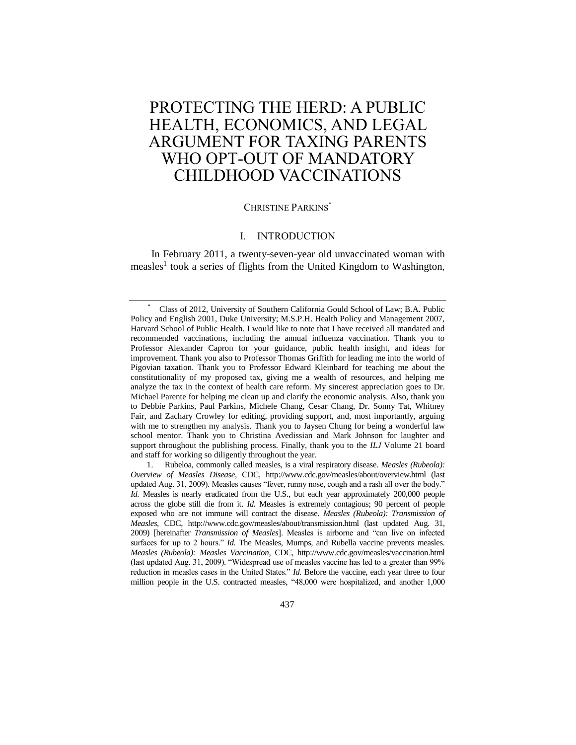# PROTECTING THE HERD: A PUBLIC HEALTH, ECONOMICS, AND LEGAL ARGUMENT FOR TAXING PARENTS WHO OPT-OUT OF MANDATORY CHILDHOOD VACCINATIONS

# CHRISTINE PARKINS\*

## I. INTRODUCTION

<span id="page-0-0"></span>In February 2011, a twenty-seven-year old unvaccinated woman with measles<sup>1</sup> took a series of flights from the United Kingdom to Washington,

1. Rubeloa, commonly called measles, is a viral respiratory disease. *Measles (Rubeola): Overview of Measles Disease*, CDC, http://www.cdc.gov/measles/about/overview.html (last updated Aug. 31, 2009). Measles causes "fever, runny nose, cough and a rash all over the body." *Id.* Measles is nearly eradicated from the U.S., but each year approximately 200,000 people across the globe still die from it. *Id.* Measles is extremely contagious; 90 percent of people exposed who are not immune will contract the disease. *Measles (Rubeola): Transmission of Measles*, CDC, http://www.cdc.gov/measles/about/transmission.html (last updated Aug. 31, 2009) [hereinafter *Transmission of Measles*]. Measles is airborne and "can live on infected surfaces for up to 2 hours." *Id.* The Measles, Mumps, and Rubella vaccine prevents measles. *Measles (Rubeola): Measles Vaccination*, CDC, http://www.cdc.gov/measles/vaccination.html (last updated Aug. 31, 2009). "Widespread use of measles vaccine has led to a greater than 99% reduction in measles cases in the United States." *Id.* Before the vaccine, each year three to four million people in the U.S. contracted measles, "48,000 were hospitalized, and another 1,000

<sup>\*</sup> Class of 2012, University of Southern California Gould School of Law; B.A. Public Policy and English 2001, Duke University; M.S.P.H. Health Policy and Management 2007, Harvard School of Public Health. I would like to note that I have received all mandated and recommended vaccinations, including the annual influenza vaccination. Thank you to Professor Alexander Capron for your guidance, public health insight, and ideas for improvement. Thank you also to Professor Thomas Griffith for leading me into the world of Pigovian taxation. Thank you to Professor Edward Kleinbard for teaching me about the constitutionality of my proposed tax, giving me a wealth of resources, and helping me analyze the tax in the context of health care reform. My sincerest appreciation goes to Dr. Michael Parente for helping me clean up and clarify the economic analysis. Also, thank you to Debbie Parkins, Paul Parkins, Michele Chang, Cesar Chang, Dr. Sonny Tat, Whitney Fair, and Zachary Crowley for editing, providing support, and, most importantly, arguing with me to strengthen my analysis. Thank you to Jaysen Chung for being a wonderful law school mentor. Thank you to Christina Avedissian and Mark Johnson for laughter and support throughout the publishing process. Finally, thank you to the *ILJ* Volume 21 board and staff for working so diligently throughout the year.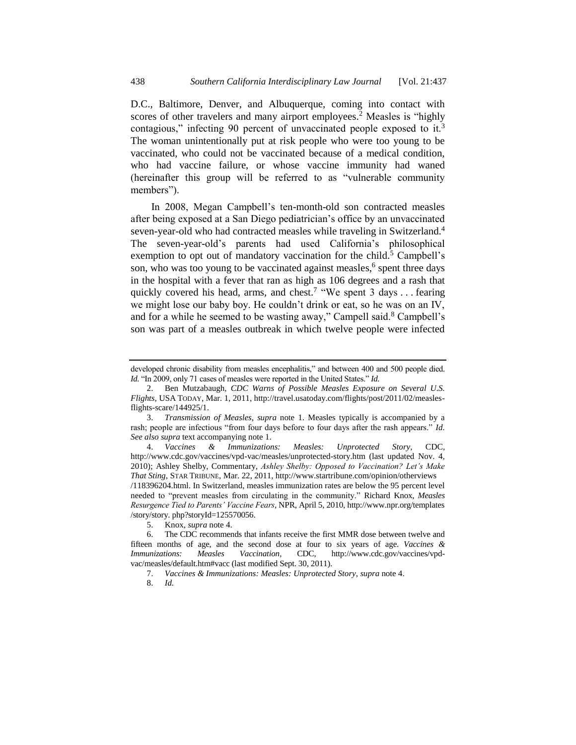D.C., Baltimore, Denver, and Albuquerque, coming into contact with scores of other travelers and many airport employees.<sup>2</sup> Measles is "highly contagious," infecting 90 percent of unvaccinated people exposed to it.<sup>3</sup> The woman unintentionally put at risk people who were too young to be vaccinated, who could not be vaccinated because of a medical condition, who had vaccine failure, or whose vaccine immunity had waned (hereinafter this group will be referred to as "vulnerable community members").

<span id="page-1-0"></span>In 2008, Megan Campbell's ten-month-old son contracted measles after being exposed at a San Diego pediatrician's office by an unvaccinated seven-year-old who had contracted measles while traveling in Switzerland.<sup>4</sup> The seven-year-old's parents had used California's philosophical exemption to opt out of mandatory vaccination for the child.<sup>5</sup> Campbell's son, who was too young to be vaccinated against measles,<sup>6</sup> spent three days in the hospital with a fever that ran as high as 106 degrees and a rash that quickly covered his head, arms, and chest.<sup>7</sup> "We spent 3 days . . . fearing we might lose our baby boy. He couldn't drink or eat, so he was on an IV, and for a while he seemed to be wasting away," Campell said. $8$  Campbell's son was part of a measles outbreak in which twelve people were infected

developed chronic disability from measles encephalitis," and between 400 and 500 people died. *Id.* "In 2009, only 71 cases of measles were reported in the United States." *Id.*

<sup>2.</sup> Ben Mutzabaugh, *CDC Warns of Possible Measles Exposure on Several U.S. Flights*, USA TODAY, Mar. 1, 2011, http://travel.usatoday.com/flights/post/2011/02/measlesflights-scare/144925/1.

<sup>3.</sup> *Transmission of Measles*, *supra* note [1.](#page-0-0) Measles typically is accompanied by a rash; people are infectious "from four days before to four days after the rash appears." *Id. See also supra* text accompanying note [1.](#page-0-0)

<sup>4.</sup> *Vaccines & Immunizations: Measles: Unprotected Story*, CDC, http://www.cdc.gov/vaccines/vpd-vac/measles/unprotected-story.htm (last updated Nov. 4, 2010); Ashley Shelby, Commentary, *Ashley Shelby: Opposed to Vaccination? Let's Make That Sting*, STAR TRIBUNE, Mar. 22, 2011, http://www.startribune.com/opinion/otherviews /118396204.html. In Switzerland, measles immunization rates are below the 95 percent level needed to "prevent measles from circulating in the community." Richard Knox, *Measles Resurgence Tied to Parents' Vaccine Fears*, NPR, April 5, 2010, http://www.npr.org/templates /story/story. php?storyId=125570056.

<sup>5.</sup> Knox, *supra* not[e 4.](#page-1-0)

<sup>6.</sup> The CDC recommends that infants receive the first MMR dose between twelve and fifteen months of age, and the second dose at four to six years of age. *Vaccines & Immunizations: Measles Vaccination*, CDC, http://www.cdc.gov/vaccines/vpdvac/measles/default.htm#vacc (last modified Sept. 30, 2011).

<sup>7.</sup> *Vaccines & Immunizations: Measles: Unprotected Story*, *supra* not[e 4.](#page-1-0)

<sup>8.</sup> *Id.*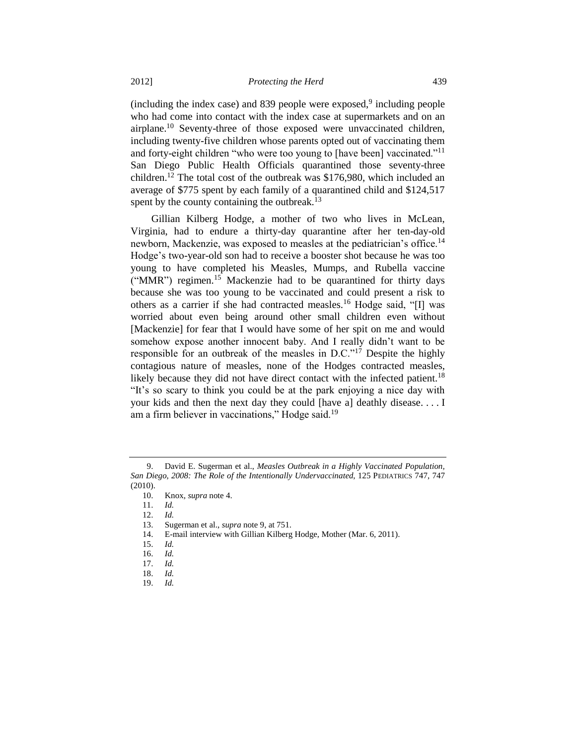<span id="page-2-0"></span> $(including the index case)$  and 839 people were exposed,<sup>9</sup> including people who had come into contact with the index case at supermarkets and on an airplane.<sup>10</sup> Seventy-three of those exposed were unvaccinated children, including twenty-five children whose parents opted out of vaccinating them and forty-eight children "who were too young to [have been] vaccinated."<sup>11</sup> San Diego Public Health Officials quarantined those seventy-three children.<sup>12</sup> The total cost of the outbreak was \$176,980, which included an average of \$775 spent by each family of a quarantined child and \$124,517 spent by the county containing the outbreak.<sup>13</sup>

Gillian Kilberg Hodge, a mother of two who lives in McLean, Virginia, had to endure a thirty-day quarantine after her ten-day-old newborn, Mackenzie, was exposed to measles at the pediatrician's office.<sup>14</sup> Hodge's two-year-old son had to receive a booster shot because he was too young to have completed his Measles, Mumps, and Rubella vaccine ("MMR") regimen.<sup>15</sup> Mackenzie had to be quarantined for thirty days because she was too young to be vaccinated and could present a risk to others as a carrier if she had contracted measles.<sup>16</sup> Hodge said, "[I] was worried about even being around other small children even without [Mackenzie] for fear that I would have some of her spit on me and would somehow expose another innocent baby. And I really didn't want to be responsible for an outbreak of the measles in D.C."<sup>17</sup> Despite the highly contagious nature of measles, none of the Hodges contracted measles, likely because they did not have direct contact with the infected patient.<sup>18</sup> "It's so scary to think you could be at the park enjoying a nice day with your kids and then the next day they could [have a] deathly disease. . . . I am a firm believer in vaccinations," Hodge said.<sup>19</sup>

<sup>9.</sup> David E. Sugerman et al., *Measles Outbreak in a Highly Vaccinated Population, San Diego, 2008: The Role of the Intentionally Undervaccinated*, 125 PEDIATRICS 747, 747 (2010).

<sup>10.</sup> Knox, *supra* not[e 4.](#page-1-0)

<sup>11.</sup> *Id.* 

<sup>12.</sup> *Id.*

<sup>13.</sup> Sugerman et al., *supra* not[e 9,](#page-2-0) at 751.

<sup>14.</sup> E-mail interview with Gillian Kilberg Hodge, Mother (Mar. 6, 2011).

<sup>15.</sup> *Id.* 

<sup>16.</sup> *Id.* 

<sup>17.</sup> *Id.* 

<sup>18.</sup> *Id.* 

<sup>19.</sup> *Id.*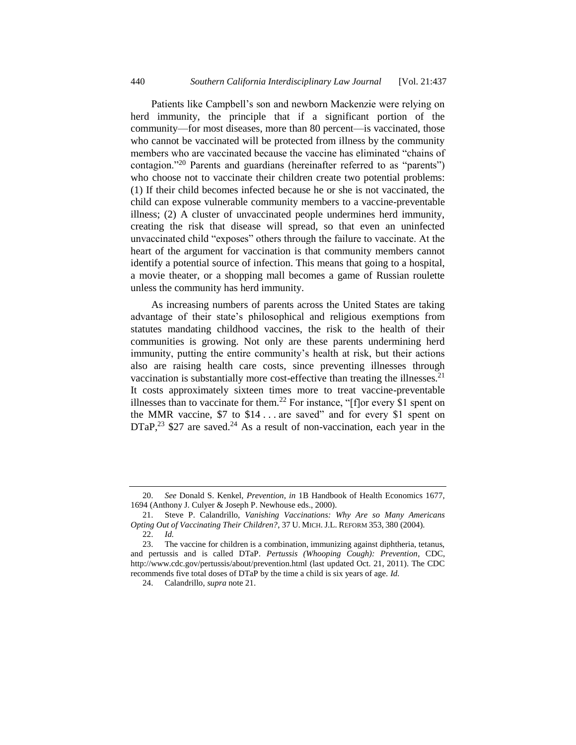<span id="page-3-1"></span>Patients like Campbell's son and newborn Mackenzie were relying on herd immunity, the principle that if a significant portion of the community—for most diseases, more than 80 percent—is vaccinated, those who cannot be vaccinated will be protected from illness by the community members who are vaccinated because the vaccine has eliminated "chains of contagion."<sup>20</sup> Parents and guardians (hereinafter referred to as "parents") who choose not to vaccinate their children create two potential problems: (1) If their child becomes infected because he or she is not vaccinated, the child can expose vulnerable community members to a vaccine-preventable illness; (2) A cluster of unvaccinated people undermines herd immunity, creating the risk that disease will spread, so that even an uninfected unvaccinated child "exposes" others through the failure to vaccinate. At the heart of the argument for vaccination is that community members cannot identify a potential source of infection. This means that going to a hospital, a movie theater, or a shopping mall becomes a game of Russian roulette unless the community has herd immunity.

<span id="page-3-0"></span>As increasing numbers of parents across the United States are taking advantage of their state's philosophical and religious exemptions from statutes mandating childhood vaccines, the risk to the health of their communities is growing. Not only are these parents undermining herd immunity, putting the entire community's health at risk, but their actions also are raising health care costs, since preventing illnesses through vaccination is substantially more cost-effective than treating the illnesses.<sup>21</sup> It costs approximately sixteen times more to treat vaccine-preventable illnesses than to vaccinate for them.<sup>22</sup> For instance, " $[f]$ or every \$1 spent on the MMR vaccine, \$7 to \$14 . . . are saved" and for every \$1 spent on  $DTaP<sup>23</sup>$  \$27 are saved.<sup>24</sup> As a result of non-vaccination, each year in the

<span id="page-3-2"></span><sup>20.</sup> *See* Donald S. Kenkel, *Prevention*, *in* 1B Handbook of Health Economics 1677, 1694 (Anthony J. Culyer & Joseph P. Newhouse eds., 2000).

<sup>21.</sup> Steve P. Calandrillo, *Vanishing Vaccinations: Why Are so Many Americans Opting Out of Vaccinating Their Children?*, 37 U. MICH. J.L. REFORM 353, 380 (2004).

<sup>22.</sup> *Id.*

<sup>23.</sup> The vaccine for children is a combination, immunizing against diphtheria, tetanus, and pertussis and is called DTaP. *Pertussis (Whooping Cough): Prevention*, CDC, http://www.cdc.gov/pertussis/about/prevention.html (last updated Oct. 21, 2011). The CDC recommends five total doses of DTaP by the time a child is six years of age. *Id.*

<sup>24.</sup> Calandrillo, *supra* note [21.](#page-3-0)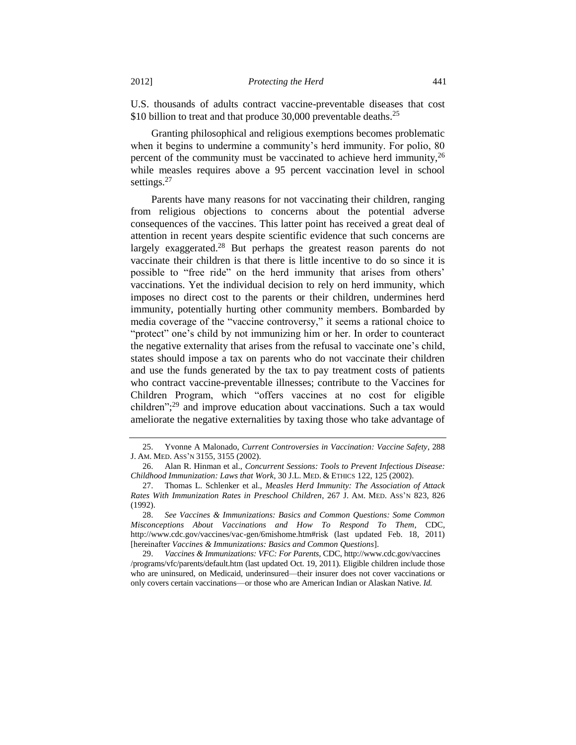U.S. thousands of adults contract vaccine-preventable diseases that cost \$10 billion to treat and that produce 30,000 preventable deaths.<sup>25</sup>

<span id="page-4-1"></span>Granting philosophical and religious exemptions becomes problematic when it begins to undermine a community's herd immunity. For polio, 80 percent of the community must be vaccinated to achieve herd immunity,  $2<sup>6</sup>$ while measles requires above a 95 percent vaccination level in school settings.<sup>27</sup>

<span id="page-4-0"></span>Parents have many reasons for not vaccinating their children, ranging from religious objections to concerns about the potential adverse consequences of the vaccines. This latter point has received a great deal of attention in recent years despite scientific evidence that such concerns are largely exaggerated.<sup>28</sup> But perhaps the greatest reason parents do not vaccinate their children is that there is little incentive to do so since it is possible to "free ride" on the herd immunity that arises from others' vaccinations. Yet the individual decision to rely on herd immunity, which imposes no direct cost to the parents or their children, undermines herd immunity, potentially hurting other community members. Bombarded by media coverage of the "vaccine controversy," it seems a rational choice to "protect" one's child by not immunizing him or her. In order to counteract the negative externality that arises from the refusal to vaccinate one's child, states should impose a tax on parents who do not vaccinate their children and use the funds generated by the tax to pay treatment costs of patients who contract vaccine-preventable illnesses; contribute to the Vaccines for Children Program, which "offers vaccines at no cost for eligible children"; <sup>29</sup> and improve education about vaccinations. Such a tax would ameliorate the negative externalities by taxing those who take advantage of

29. *Vaccines & Immunizations: VFC: For Parents*, CDC, http://www.cdc.gov/vaccines /programs/vfc/parents/default.htm (last updated Oct. 19, 2011). Eligible children include those who are uninsured, on Medicaid, underinsured—their insurer does not cover vaccinations or only covers certain vaccinations—or those who are American Indian or Alaskan Native. *Id.*

<span id="page-4-2"></span><sup>25.</sup> Yvonne A Malonado, *Current Controversies in Vaccination: Vaccine Safety*, 288 J. AM. MED. ASS'N 3155, 3155 (2002).

<sup>26.</sup> Alan R. Hinman et al., *Concurrent Sessions: Tools to Prevent Infectious Disease: Childhood Immunization: Laws that Work*, 30 J.L. MED. & ETHICS 122, 125 (2002).

<sup>27.</sup> Thomas L. Schlenker et al., *Measles Herd Immunity: The Association of Attack Rates With Immunization Rates in Preschool Children*, 267 J. AM. MED. ASS'N 823, 826 (1992).

<sup>28.</sup> *See Vaccines & Immunizations: Basics and Common Questions: Some Common Misconceptions About Vaccinations and How To Respond To Them*, CDC, http://www.cdc.gov/vaccines/vac-gen/6mishome.htm#risk (last updated Feb. 18, 2011) [hereinafter *Vaccines & Immunizations: Basics and Common Questions*].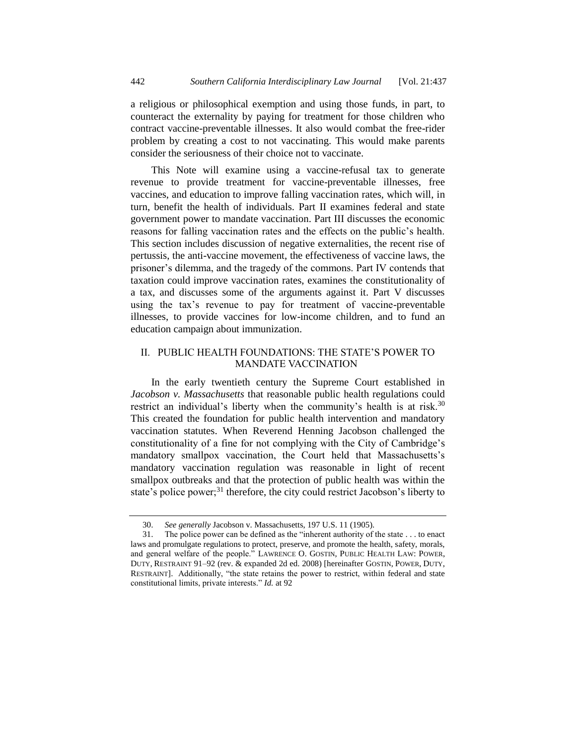a religious or philosophical exemption and using those funds, in part, to counteract the externality by paying for treatment for those children who contract vaccine-preventable illnesses. It also would combat the free-rider problem by creating a cost to not vaccinating. This would make parents consider the seriousness of their choice not to vaccinate.

This Note will examine using a vaccine-refusal tax to generate revenue to provide treatment for vaccine-preventable illnesses, free vaccines, and education to improve falling vaccination rates, which will, in turn, benefit the health of individuals. Part II examines federal and state government power to mandate vaccination. Part III discusses the economic reasons for falling vaccination rates and the effects on the public's health. This section includes discussion of negative externalities, the recent rise of pertussis, the anti-vaccine movement, the effectiveness of vaccine laws, the prisoner's dilemma, and the tragedy of the commons. Part IV contends that taxation could improve vaccination rates, examines the constitutionality of a tax, and discusses some of the arguments against it. Part V discusses using the tax's revenue to pay for treatment of vaccine-preventable illnesses, to provide vaccines for low-income children, and to fund an education campaign about immunization.

# II. PUBLIC HEALTH FOUNDATIONS: THE STATE'S POWER TO MANDATE VACCINATION

In the early twentieth century the Supreme Court established in *Jacobson v. Massachusetts* that reasonable public health regulations could restrict an individual's liberty when the community's health is at risk.<sup>30</sup> This created the foundation for public health intervention and mandatory vaccination statutes. When Reverend Henning Jacobson challenged the constitutionality of a fine for not complying with the City of Cambridge's mandatory smallpox vaccination, the Court held that Massachusetts's mandatory vaccination regulation was reasonable in light of recent smallpox outbreaks and that the protection of public health was within the state's police power;<sup>31</sup> therefore, the city could restrict Jacobson's liberty to

<span id="page-5-0"></span><sup>30.</sup> *See generally* Jacobson v. Massachusetts, 197 U.S. 11 (1905).

<sup>31.</sup> The police power can be defined as the "inherent authority of the state . . . to enact laws and promulgate regulations to protect, preserve, and promote the health, safety, morals, and general welfare of the people." LAWRENCE O. GOSTIN, PUBLIC HEALTH LAW: POWER, DUTY, RESTRAINT 91–92 (rev. & expanded 2d ed. 2008) [hereinafter GOSTIN, POWER, DUTY, RESTRAINT]. Additionally, "the state retains the power to restrict, within federal and state constitutional limits, private interests." *Id.* at 92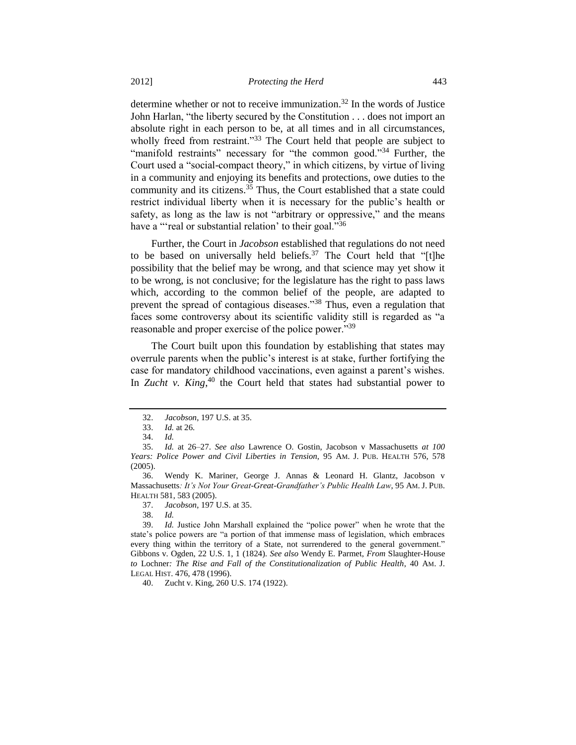determine whether or not to receive immunization.<sup>32</sup> In the words of Justice John Harlan, "the liberty secured by the Constitution . . . does not import an absolute right in each person to be, at all times and in all circumstances, wholly freed from restraint."<sup>33</sup> The Court held that people are subject to "manifold restraints" necessary for "the common good."<sup>34</sup> Further, the Court used a "social-compact theory," in which citizens, by virtue of living in a community and enjoying its benefits and protections, owe duties to the community and its citizens.<sup>35</sup> Thus, the Court established that a state could restrict individual liberty when it is necessary for the public's health or safety, as long as the law is not "arbitrary or oppressive," and the means have a "'real or substantial relation' to their goal."<sup>36</sup>

<span id="page-6-1"></span><span id="page-6-0"></span>Further, the Court in *Jacobson* established that regulations do not need to be based on universally held beliefs.<sup>37</sup> The Court held that "[t]he possibility that the belief may be wrong, and that science may yet show it to be wrong, is not conclusive; for the legislature has the right to pass laws which, according to the common belief of the people, are adapted to prevent the spread of contagious diseases."<sup>38</sup> Thus, even a regulation that faces some controversy about its scientific validity still is regarded as "a reasonable and proper exercise of the police power."<sup>39</sup>

The Court built upon this foundation by establishing that states may overrule parents when the public's interest is at stake, further fortifying the case for mandatory childhood vaccinations, even against a parent's wishes. In *Zucht v. King*<sup>40</sup> the Court held that states had substantial power to

38. *Id.*

40. Zucht v. King, 260 U.S. 174 (1922).

<sup>32.</sup> *Jacobson*, 197 U.S. at 35.

<sup>33.</sup> *Id.* at 26.

<sup>34.</sup> *Id.*

<sup>35.</sup> *Id.* at 26–27. *See also* Lawrence O. Gostin, Jacobson v Massachusetts *at 100 Years: Police Power and Civil Liberties in Tension*, 95 AM. J. PUB. HEALTH 576, 578 (2005).

<sup>36.</sup> Wendy K. Mariner, George J. Annas & Leonard H. Glantz, Jacobson v Massachusetts*: It's Not Your Great-Great-Grandfather's Public Health Law*, 95 AM. J. PUB. HEALTH 581, 583 (2005).

<sup>37.</sup> *Jacobson*, 197 U.S. at 35.

<sup>39.</sup> *Id.* Justice John Marshall explained the "police power" when he wrote that the state's police powers are "a portion of that immense mass of legislation, which embraces every thing within the territory of a State, not surrendered to the general government." Gibbons v. Ogden, 22 U.S. 1, 1 (1824). *See also* Wendy E. Parmet, *From* Slaughter-House *to* Lochner*: The Rise and Fall of the Constitutionalization of Public Health*, 40 AM. J. LEGAL HIST. 476, 478 (1996).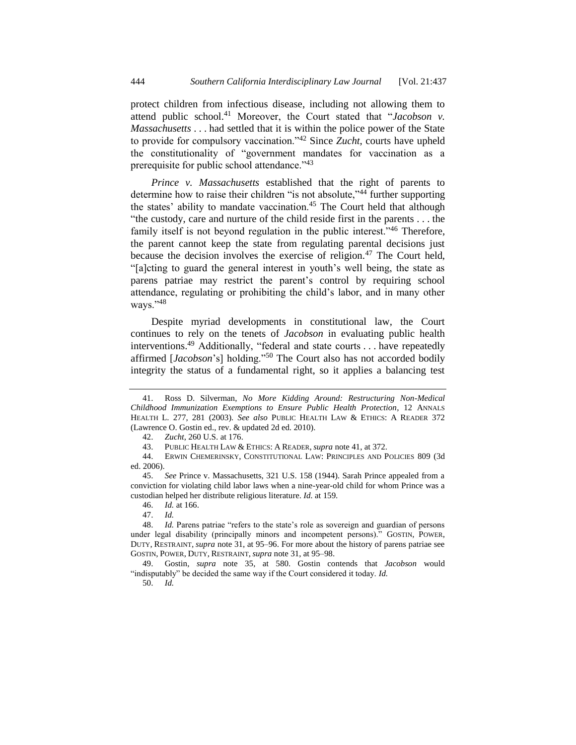<span id="page-7-0"></span>protect children from infectious disease, including not allowing them to attend public school.<sup>41</sup> Moreover, the Court stated that "*Jacobson v*. *Massachusetts* . . . had settled that it is within the police power of the State to provide for compulsory vaccination."<sup>42</sup> Since *Zucht*, courts have upheld the constitutionality of "government mandates for vaccination as a prerequisite for public school attendance."<sup>43</sup>

<span id="page-7-1"></span>*Prince v. Massachusetts* established that the right of parents to determine how to raise their children "is not absolute,"<sup>44</sup> further supporting the states' ability to mandate vaccination.<sup>45</sup> The Court held that although "the custody, care and nurture of the child reside first in the parents . . . the family itself is not beyond regulation in the public interest."<sup>46</sup> Therefore, the parent cannot keep the state from regulating parental decisions just because the decision involves the exercise of religion.<sup>47</sup> The Court held, "[a]cting to guard the general interest in youth's well being, the state as parens patriae may restrict the parent's control by requiring school attendance, regulating or prohibiting the child's labor, and in many other ways."<sup>48</sup>

Despite myriad developments in constitutional law, the Court continues to rely on the tenets of *Jacobson* in evaluating public health interventions.<sup>49</sup> Additionally, "federal and state courts . . . have repeatedly affirmed [*Jacobson*'s] holding."<sup>50</sup> The Court also has not accorded bodily integrity the status of a fundamental right, so it applies a balancing test

46. *Id.* at 166.

49. Gostin, *supra* note [35,](#page-6-0) at 580. Gostin contends that *Jacobson* would "indisputably" be decided the same way if the Court considered it today. *Id.*

50. *Id.*

<sup>41.</sup> Ross D. Silverman, *No More Kidding Around: Restructuring Non-Medical Childhood Immunization Exemptions to Ensure Public Health Protection*, 12 ANNALS HEALTH L. 277, 281 (2003)*. See also* PUBLIC HEALTH LAW & ETHICS: A READER 372 (Lawrence O. Gostin ed., rev. & updated 2d ed. 2010).

<sup>42.</sup> *Zucht*, 260 U.S. at 176.

<sup>43.</sup> PUBLIC HEALTH LAW & ETHICS: A READER, *supra* note [41,](#page-7-0) at 372.

<sup>44.</sup> ERWIN CHEMERINSKY, CONSTITUTIONAL LAW: PRINCIPLES AND POLICIES 809 (3d ed. 2006).

<sup>45.</sup> *See* Prince v. Massachusetts, 321 U.S. 158 (1944). Sarah Prince appealed from a conviction for violating child labor laws when a nine-year-old child for whom Prince was a custodian helped her distribute religious literature. *Id.* at 159.

<sup>47.</sup> *Id.* 

<sup>48.</sup> *Id.* Parens patriae "refers to the state's role as sovereign and guardian of persons under legal disability (principally minors and incompetent persons)." GOSTIN, POWER, DUTY, RESTRAINT, *supra* note [31,](#page-5-0) at 95–96. For more about the history of parens patriae see GOSTIN, POWER, DUTY, RESTRAINT, *supra* note [31,](#page-5-0) at 95–98.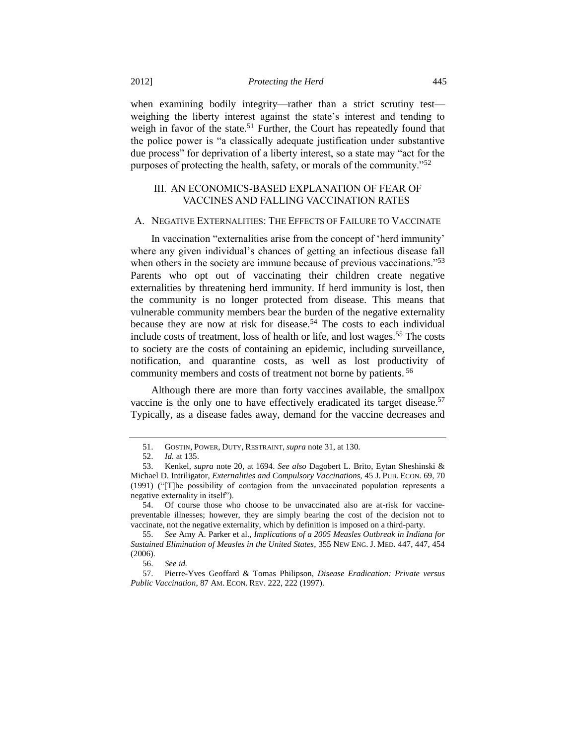when examining bodily integrity—rather than a strict scrutiny test weighing the liberty interest against the state's interest and tending to weigh in favor of the state.<sup>51</sup> Further, the Court has repeatedly found that the police power is "a classically adequate justification under substantive due process" for deprivation of a liberty interest, so a state may "act for the purposes of protecting the health, safety, or morals of the community."<sup>52</sup>

# <span id="page-8-1"></span>III. AN ECONOMICS-BASED EXPLANATION OF FEAR OF VACCINES AND FALLING VACCINATION RATES

## A. NEGATIVE EXTERNALITIES: THE EFFECTS OF FAILURE TO VACCINATE

In vaccination "externalities arise from the concept of 'herd immunity' where any given individual's chances of getting an infectious disease fall when others in the society are immune because of previous vaccinations."<sup>53</sup> Parents who opt out of vaccinating their children create negative externalities by threatening herd immunity. If herd immunity is lost, then the community is no longer protected from disease. This means that vulnerable community members bear the burden of the negative externality because they are now at risk for disease.<sup>54</sup> The costs to each individual include costs of treatment, loss of health or life, and lost wages.<sup>55</sup> The costs to society are the costs of containing an epidemic, including surveillance, notification, and quarantine costs, as well as lost productivity of community members and costs of treatment not borne by patients. <sup>56</sup>

<span id="page-8-0"></span>Although there are more than forty vaccines available, the smallpox vaccine is the only one to have effectively eradicated its target disease.<sup>57</sup> Typically, as a disease fades away, demand for the vaccine decreases and

<sup>51.</sup> GOSTIN, POWER, DUTY, RESTRAINT, *supra* not[e 31,](#page-5-0) at 130.

<sup>52.</sup> *Id.* at 135.

<sup>53.</sup> Kenkel, *supra* note [20,](#page-3-1) at 1694. *See also* Dagobert L. Brito, Eytan Sheshinski & Michael D. Intriligator, *Externalities and Compulsory Vaccinations*, 45 J. PUB. ECON. 69, 70 (1991) ("[T]he possibility of contagion from the unvaccinated population represents a negative externality in itself").

<sup>54.</sup> Of course those who choose to be unvaccinated also are at-risk for vaccinepreventable illnesses; however, they are simply bearing the cost of the decision not to vaccinate, not the negative externality, which by definition is imposed on a third-party.

<sup>55.</sup> *See* Amy A. Parker et al., *Implications of a 2005 Measles Outbreak in Indiana for Sustained Elimination of Measles in the United States*, 355 NEW ENG. J. MED. 447, 447, 454 (2006).

<sup>56.</sup> *See id.*

<sup>57.</sup> Pierre-Yves Geoffard & Tomas Philipson, *Disease Eradication: Private versus Public Vaccination*, 87 AM. ECON. REV. 222, 222 (1997).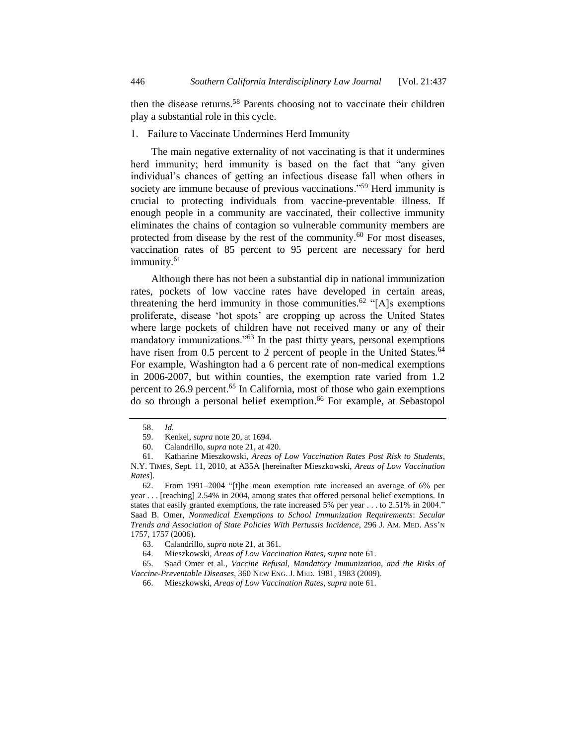then the disease returns.<sup>58</sup> Parents choosing not to vaccinate their children play a substantial role in this cycle.

## 1. Failure to Vaccinate Undermines Herd Immunity

The main negative externality of not vaccinating is that it undermines herd immunity; herd immunity is based on the fact that "any given individual's chances of getting an infectious disease fall when others in society are immune because of previous vaccinations."<sup>59</sup> Herd immunity is crucial to protecting individuals from vaccine-preventable illness. If enough people in a community are vaccinated, their collective immunity eliminates the chains of contagion so vulnerable community members are protected from disease by the rest of the community.<sup>60</sup> For most diseases, vaccination rates of 85 percent to 95 percent are necessary for herd immunity.<sup>61</sup>

<span id="page-9-2"></span><span id="page-9-0"></span>Although there has not been a substantial dip in national immunization rates, pockets of low vaccine rates have developed in certain areas, threatening the herd immunity in those communities.<sup>62</sup> "[A]s exemptions proliferate, disease 'hot spots' are cropping up across the United States where large pockets of children have not received many or any of their mandatory immunizations."<sup>63</sup> In the past thirty years, personal exemptions have risen from 0.5 percent to 2 percent of people in the United States.<sup>64</sup> For example, Washington had a 6 percent rate of non-medical exemptions in 2006-2007, but within counties, the exemption rate varied from 1.2 percent to 26.9 percent.<sup>65</sup> In California, most of those who gain exemptions do so through a personal belief exemption.<sup>66</sup> For example, at Sebastopol

63. Calandrillo, *supra* note [21,](#page-3-0) at 361.

64. Mieszkowski, *Areas of Low Vaccination Rates*, *supra* not[e 61.](#page-9-0)

65. Saad Omer et al., *Vaccine Refusal, Mandatory Immunization, and the Risks of Vaccine-Preventable Diseases*, 360 NEW ENG. J. MED. 1981, 1983 (2009).

<span id="page-9-1"></span><sup>58.</sup> *Id.*

<sup>59.</sup> Kenkel, *supra* not[e 20,](#page-3-1) at 1694.

<sup>60.</sup> Calandrillo, *supra* note [21,](#page-3-0) at 420.

<sup>61.</sup> Katharine Mieszkowski, *Areas of Low Vaccination Rates Post Risk to Students*, N.Y. TIMES, Sept. 11, 2010, at A35A [hereinafter Mieszkowski, *Areas of Low Vaccination Rates*].

<sup>62.</sup> From 1991–2004 "[t]he mean exemption rate increased an average of 6% per year . . . [reaching] 2.54% in 2004, among states that offered personal belief exemptions. In states that easily granted exemptions, the rate increased 5% per year . . . to 2.51% in 2004." Saad B. Omer, *Nonmedical Exemptions to School Immunization Requirements*: *Secular Trends and Association of State Policies With Pertussis Incidence*, 296 J. AM. MED. ASS'N 1757, 1757 (2006).

<sup>66.</sup> Mieszkowski, *Areas of Low Vaccination Rates*, *supra* not[e 61.](#page-9-0)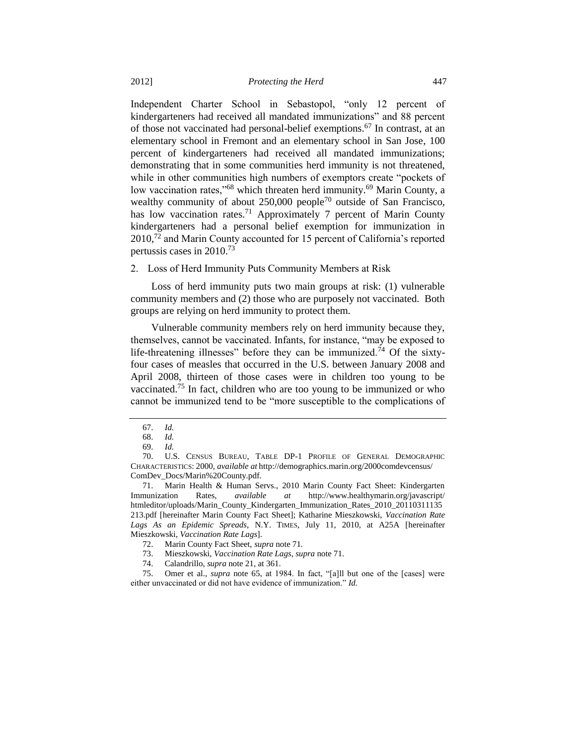Independent Charter School in Sebastopol, "only 12 percent of kindergarteners had received all mandated immunizations" and 88 percent of those not vaccinated had personal-belief exemptions.<sup>67</sup> In contrast, at an elementary school in Fremont and an elementary school in San Jose, 100 percent of kindergarteners had received all mandated immunizations; demonstrating that in some communities herd immunity is not threatened, while in other communities high numbers of exemptors create "pockets of low vaccination rates,"<sup>68</sup> which threaten herd immunity.<sup>69</sup> Marin County, a wealthy community of about  $250,000$  people<sup>70</sup> outside of San Francisco, has low vaccination rates.<sup>71</sup> Approximately 7 percent of Marin County kindergarteners had a personal belief exemption for immunization in 2010,<sup>72</sup> and Marin County accounted for 15 percent of California's reported pertussis cases in 2010.<sup>73</sup>

<span id="page-10-0"></span>2. Loss of Herd Immunity Puts Community Members at Risk

Loss of herd immunity puts two main groups at risk: (1) vulnerable community members and (2) those who are purposely not vaccinated. Both groups are relying on herd immunity to protect them.

Vulnerable community members rely on herd immunity because they, themselves, cannot be vaccinated. Infants, for instance, "may be exposed to life-threatening illnesses" before they can be immunized.<sup>74</sup> Of the sixtyfour cases of measles that occurred in the U.S. between January 2008 and April 2008, thirteen of those cases were in children too young to be vaccinated.<sup>75</sup> In fact, children who are too young to be immunized or who cannot be immunized tend to be "more susceptible to the complications of

<sup>67.</sup> *Id.*

<sup>68.</sup> *Id.*

<sup>69.</sup> *Id.*

<sup>70.</sup> U.S. CENSUS BUREAU, TABLE DP-1 PROFILE OF GENERAL DEMOGRAPHIC CHARACTERISTICS: 2000, *available at* http://demographics.marin.org/2000comdevcensus/ ComDev\_Docs/Marin%20County.pdf.

<sup>71.</sup> Marin Health & Human Servs., 2010 Marin County Fact Sheet: Kindergarten Immunization Rates, *available at* http://www.healthymarin.org/javascript/ htmleditor/uploads/Marin\_County\_Kindergarten\_Immunization\_Rates\_2010\_20110311135 213.pdf [hereinafter Marin County Fact Sheet]; Katharine Mieszkowski, *Vaccination Rate Lags As an Epidemic Spreads*, N.Y. TIMES, July 11, 2010, at A25A [hereinafter Mieszkowski, *Vaccination Rate Lags*].

<sup>72.</sup> Marin County Fact Sheet, *supra* note [71](#page-10-0)*.*

<sup>73.</sup> Mieszkowski, *Vaccination Rate Lags*, *supra* not[e 71.](#page-10-0)

<sup>74.</sup> Calandrillo, *supra* note [21,](#page-3-0) at 361.

<sup>75.</sup> Omer et al., *supra* note [65,](#page-9-1) at 1984. In fact, "[a]ll but one of the [cases] were either unvaccinated or did not have evidence of immunization." *Id.*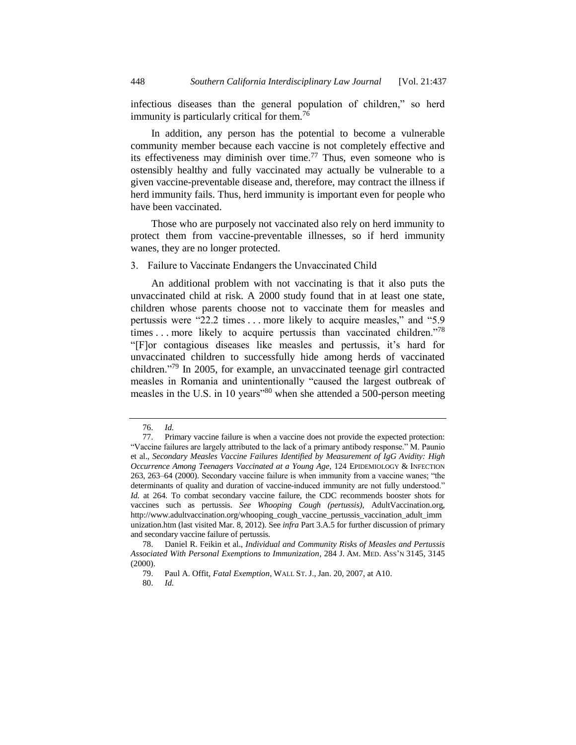infectious diseases than the general population of children," so herd immunity is particularly critical for them.<sup>76</sup>

In addition, any person has the potential to become a vulnerable community member because each vaccine is not completely effective and its effectiveness may diminish over time.<sup>77</sup> Thus, even someone who is ostensibly healthy and fully vaccinated may actually be vulnerable to a given vaccine-preventable disease and, therefore, may contract the illness if herd immunity fails. Thus, herd immunity is important even for people who have been vaccinated.

Those who are purposely not vaccinated also rely on herd immunity to protect them from vaccine-preventable illnesses, so if herd immunity wanes, they are no longer protected.

3. Failure to Vaccinate Endangers the Unvaccinated Child

<span id="page-11-0"></span>An additional problem with not vaccinating is that it also puts the unvaccinated child at risk. A 2000 study found that in at least one state, children whose parents choose not to vaccinate them for measles and pertussis were "22.2 times . . . more likely to acquire measles," and "5.9 times . . . more likely to acquire pertussis than vaccinated children."<sup>78</sup> "[F]or contagious diseases like measles and pertussis, it's hard for unvaccinated children to successfully hide among herds of vaccinated children."<sup>79</sup> In 2005, for example, an unvaccinated teenage girl contracted measles in Romania and unintentionally "caused the largest outbreak of measles in the U.S. in 10 years<sup>380</sup> when she attended a 500-person meeting

<span id="page-11-1"></span><sup>76.</sup> *Id.*

<sup>77.</sup> Primary vaccine failure is when a vaccine does not provide the expected protection: "Vaccine failures are largely attributed to the lack of a primary antibody response." M. Paunio et al., *Secondary Measles Vaccine Failures Identified by Measurement of IgG Avidity: High Occurrence Among Teenagers Vaccinated at a Young Age*, 124 EPIDEMIOLOGY & INFECTION 263, 263–64 (2000). Secondary vaccine failure is when immunity from a vaccine wanes; "the determinants of quality and duration of vaccine-induced immunity are not fully understood." *Id.* at 264. To combat secondary vaccine failure, the CDC recommends booster shots for vaccines such as pertussis. *See Whooping Cough (pertussis)*, AdultVaccination.org, http://www.adultvaccination.org/whooping\_cough\_vaccine\_pertussis\_vaccination\_adult\_imm unization.htm (last visited Mar. 8, 2012). See *infra* Part 3.A.5 for further discussion of primary and secondary vaccine failure of pertussis.

<sup>78.</sup> Daniel R. Feikin et al., *Individual and Community Risks of Measles and Pertussis Associated With Personal Exemptions to Immunization*, 284 J. AM. MED. ASS'N 3145, 3145 (2000).

<sup>79.</sup> Paul A. Offit, *Fatal Exemption*, WALL ST. J., Jan. 20, 2007, at A10.

<sup>80.</sup> *Id.*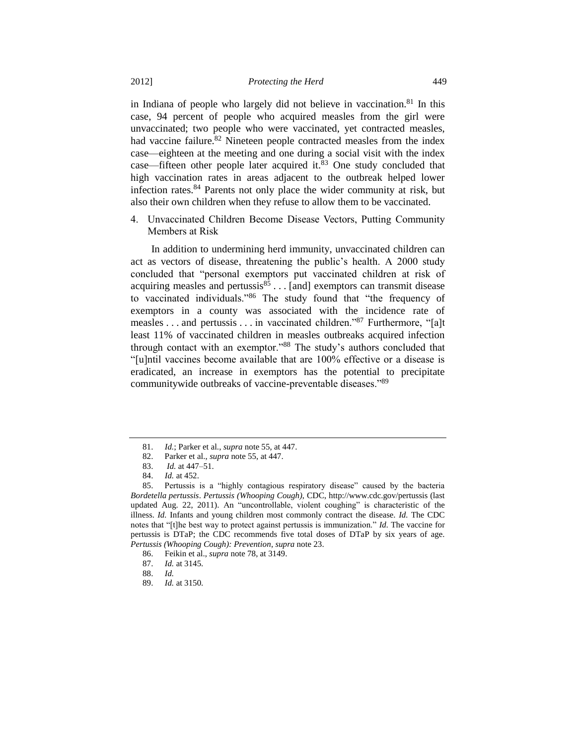in Indiana of people who largely did not believe in vaccination.<sup>81</sup> In this case, 94 percent of people who acquired measles from the girl were unvaccinated; two people who were vaccinated, yet contracted measles, had vaccine failure.<sup>82</sup> Nineteen people contracted measles from the index case—eighteen at the meeting and one during a social visit with the index case—fifteen other people later acquired it. $83$  One study concluded that high vaccination rates in areas adjacent to the outbreak helped lower infection rates.<sup>84</sup> Parents not only place the wider community at risk, but also their own children when they refuse to allow them to be vaccinated.

4. Unvaccinated Children Become Disease Vectors, Putting Community Members at Risk

In addition to undermining herd immunity, unvaccinated children can act as vectors of disease, threatening the public's health. A 2000 study concluded that "personal exemptors put vaccinated children at risk of acquiring measles and pertussis $85$ ... [and] exemptors can transmit disease to vaccinated individuals."<sup>86</sup> The study found that "the frequency of exemptors in a county was associated with the incidence rate of measles . . . and pertussis . . . in vaccinated children."<sup>87</sup> Furthermore, "[a]t least 11% of vaccinated children in measles outbreaks acquired infection through contact with an exemptor."<sup>88</sup> The study's authors concluded that "[u]ntil vaccines become available that are 100% effective or a disease is eradicated, an increase in exemptors has the potential to precipitate communitywide outbreaks of vaccine-preventable diseases."<sup>89</sup>

<sup>81.</sup> *Id.*; Parker et al., *supra* note [55,](#page-8-0) at 447.

<sup>82.</sup> Parker et al., *supra* not[e 55,](#page-8-0) at 447.

<sup>83.</sup> *Id.* at 447–51.

<sup>84.</sup> *Id.* at 452.

<sup>85.</sup> Pertussis is a "highly contagious respiratory disease" caused by the bacteria *Bordetella pertussis*. *Pertussis (Whooping Cough)*, CDC, http://www.cdc.gov/pertussis (last updated Aug. 22, 2011). An "uncontrollable, violent coughing" is characteristic of the illness. *Id.* Infants and young children most commonly contract the disease. *Id.* The CDC notes that "[t]he best way to protect against pertussis is immunization." *Id.* The vaccine for pertussis is DTaP; the CDC recommends five total doses of DTaP by six years of age. *Pertussis (Whooping Cough): Prevention*, *supra* not[e 23.](#page-3-2)

<sup>86.</sup> Feikin et al., *supra* note [78,](#page-11-0) at 3149.

<sup>87.</sup> *Id.* at 3145.

<sup>88.</sup> *Id.*

<sup>89.</sup> *Id.* at 3150.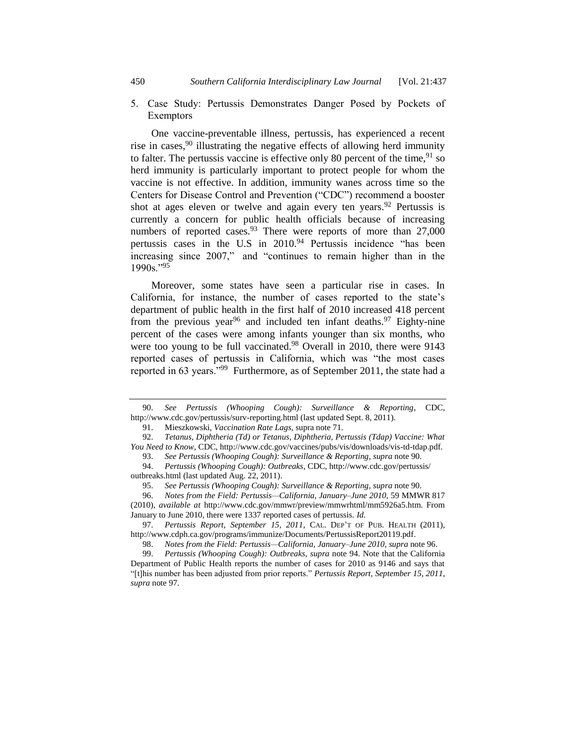5. Case Study: Pertussis Demonstrates Danger Posed by Pockets of Exemptors

<span id="page-13-0"></span>One vaccine-preventable illness, pertussis, has experienced a recent rise in cases,  $90$  illustrating the negative effects of allowing herd immunity to falter. The pertussis vaccine is effective only 80 percent of the time,  $91$  so herd immunity is particularly important to protect people for whom the vaccine is not effective. In addition, immunity wanes across time so the Centers for Disease Control and Prevention ("CDC") recommend a booster shot at ages eleven or twelve and again every ten years.<sup>92</sup> Pertussis is currently a concern for public health officials because of increasing numbers of reported cases. <sup>93</sup> There were reports of more than  $27,000$ pertussis cases in the U.S in 2010.<sup>94</sup> Pertussis incidence "has been increasing since 2007," and "continues to remain higher than in the 1990s."<sup>95</sup>

<span id="page-13-3"></span><span id="page-13-2"></span><span id="page-13-1"></span>Moreover, some states have seen a particular rise in cases. In California, for instance, the number of cases reported to the state's department of public health in the first half of 2010 increased 418 percent from the previous year<sup>96</sup> and included ten infant deaths.<sup>97</sup> Eighty-nine percent of the cases were among infants younger than six months, who were too young to be full vaccinated.<sup>98</sup> Overall in 2010, there were 9143 reported cases of pertussis in California, which was "the most cases reported in 63 years."<sup>99</sup> Furthermore, as of September 2011, the state had a

97. *Pertussis Report*, *September 15, 2011*, CAL. DEP'T OF PUB. HEALTH (2011), [http://www.cdph.ca.gov/programs/immunize/Documents/PertussisReport20119.pdf.](http://www.cdph.ca.gov/programs/immunize/Documents/PertussisReport20119.pdf)

<sup>90.</sup> *See Pertussis (Whooping Cough): Surveillance & Reporting*, CDC, http://www.cdc.gov/pertussis/surv-reporting.html (last updated Sept. 8, 2011).

<sup>91.</sup> Mieszkowski, *Vaccination Rate Lags*, supra not[e 71.](#page-10-0)

<sup>92.</sup> *Tetanus, Diphtheria (Td) or Tetanus, Diphtheria, Pertussis (Tdap) Vaccine: What You Need to Know*, CDC, http://www.cdc.gov/vaccines/pubs/vis/downloads/vis-td-tdap.pdf.

<sup>93.</sup> *See Pertussis (Whooping Cough): Surveillance & Reporting*, *supra* not[e 90.](#page-13-0)

<sup>94.</sup> *Pertussis (Whooping Cough): Outbreaks*, CDC, http://www.cdc.gov/pertussis/ outbreaks.html (last updated Aug. 22, 2011).

<sup>95.</sup> *See Pertussis (Whooping Cough): Surveillance & Reporting*, *supra* not[e 90.](#page-13-0)

<sup>96.</sup> *Notes from the Field: Pertussis—California, January–June 2010*, 59 MMWR 817 (2010), *available at* http://www.cdc.gov/mmwr/preview/mmwrhtml/mm5926a5.htm. From January to June 2010, there were 1337 reported cases of pertussis. *Id.*

<sup>98.</sup> *Notes from the Field: Pertussis—California, January–June 2010*, *supra* note [96.](#page-13-1)

<sup>99.</sup> *Pertussis (Whooping Cough): Outbreaks*, *supra* note [94.](#page-13-2) Note that the California Department of Public Health reports the number of cases for 2010 as 9146 and says that "[t]his number has been adjusted from prior reports." *Pertussis Report, September 15, 2011*, *supra* not[e 97.](#page-13-3)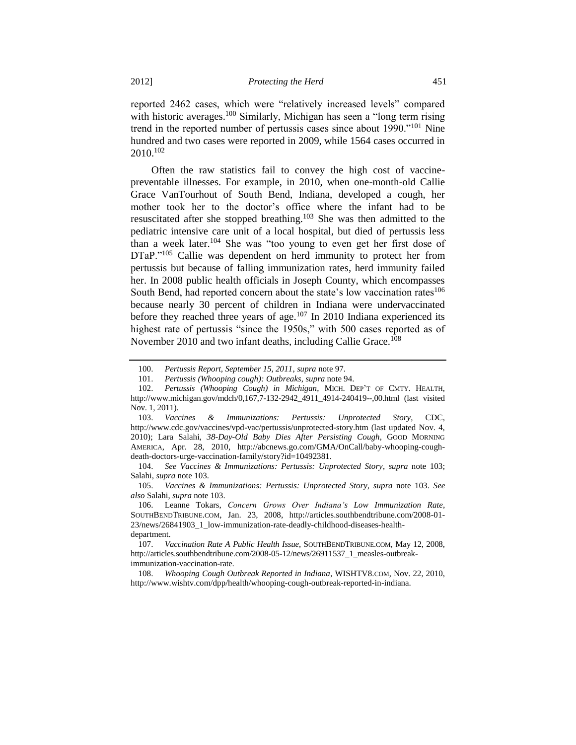reported 2462 cases, which were "relatively increased levels" compared with historic averages.<sup>100</sup> Similarly, Michigan has seen a "long term rising" trend in the reported number of pertussis cases since about 1990."<sup>101</sup> Nine hundred and two cases were reported in 2009, while 1564 cases occurred in 2010.<sup>102</sup>

<span id="page-14-0"></span>Often the raw statistics fail to convey the high cost of vaccinepreventable illnesses. For example, in 2010, when one-month-old Callie Grace VanTourhout of South Bend, Indiana, developed a cough, her mother took her to the doctor's office where the infant had to be resuscitated after she stopped breathing.<sup>103</sup> She was then admitted to the pediatric intensive care unit of a local hospital, but died of pertussis less than a week later.<sup>104</sup> She was "too young to even get her first dose of DTaP."<sup>105</sup> Callie was dependent on herd immunity to protect her from pertussis but because of falling immunization rates, herd immunity failed her. In 2008 public health officials in Joseph County, which encompasses South Bend, had reported concern about the state's low vaccination rates<sup>106</sup> because nearly 30 percent of children in Indiana were undervaccinated before they reached three years of age.<sup>107</sup> In 2010 Indiana experienced its highest rate of pertussis "since the 1950s," with 500 cases reported as of November 2010 and two infant deaths, including Callie Grace.<sup>108</sup>

<sup>100.</sup> *Pertussis Report, September 15, 2011*, *supra* not[e 97.](#page-13-3)

<sup>101.</sup> *Pertussis (Whooping cough): Outbreaks*, *supra* not[e 94.](#page-13-2)

<sup>102.</sup> *Pertussis (Whooping Cough) in Michigan*, MICH. DEP'T OF CMTY. HEALTH, http://www.michigan.gov/mdch/0,167,7-132-2942\_4911\_4914-240419--,00.html (last visited Nov. 1, 2011).

<sup>103.</sup> *Vaccines & Immunizations: Pertussis: Unprotected Story*, CDC, http://www.cdc.gov/vaccines/vpd-vac/pertussis/unprotected-story.htm (last updated Nov. 4, 2010); Lara Salahi, *38-Day-Old Baby Dies After Persisting Cough*, GOOD MORNING AMERICA, Apr. 28, 2010, http://abcnews.go.com/GMA/OnCall/baby-whooping-coughdeath-doctors-urge-vaccination-family/story?id=10492381.

<sup>104.</sup> *See Vaccines & Immunizations: Pertussis: Unprotected Story*, *supra* note [103;](#page-14-0) Salahi, *supra* not[e 103.](#page-14-0)

<sup>105.</sup> *Vaccines & Immunizations: Pertussis: Unprotected Story*, *supra* note [103.](#page-14-0) *See also* Salahi, *supra* not[e 103.](#page-14-0)

<sup>106.</sup> Leanne Tokars, *Concern Grows Over Indiana's Low Immunization Rate*, SOUTHBENDTRIBUNE.COM, Jan. 23, 2008, http://articles.southbendtribune.com/2008-01- 23/news/26841903\_1\_low-immunization-rate-deadly-childhood-diseases-healthdepartment.

<sup>107.</sup> *Vaccination Rate A Public Health Issue*, SOUTHBENDTRIBUNE.COM, May 12, 2008, http://articles.southbendtribune.com/2008-05-12/news/26911537\_1\_measles-outbreakimmunization-vaccination-rate.

<sup>108.</sup> *Whooping Cough Outbreak Reported in Indiana*, WISHTV8.COM, Nov. 22, 2010, http://www.wishtv.com/dpp/health/whooping-cough-outbreak-reported-in-indiana.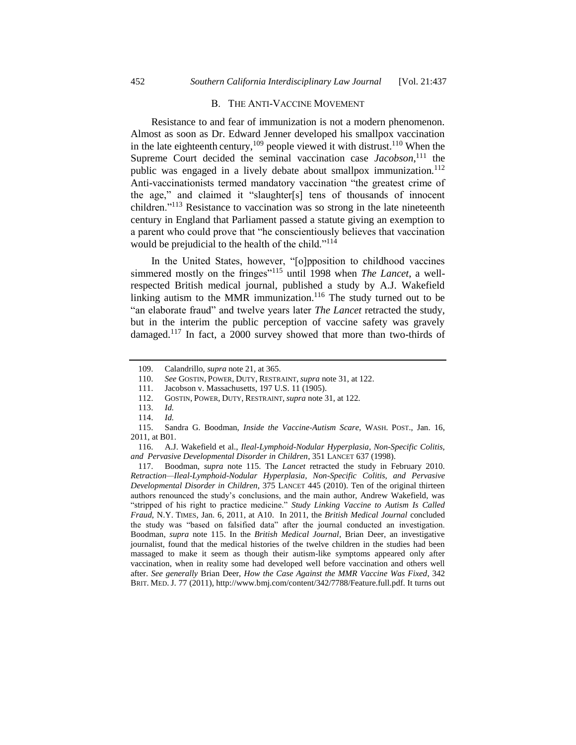#### B. THE ANTI-VACCINE MOVEMENT

Resistance to and fear of immunization is not a modern phenomenon. Almost as soon as Dr. Edward Jenner developed his smallpox vaccination in the late eighteenth century,<sup>109</sup> people viewed it with distrust.<sup>110</sup> When the Supreme Court decided the seminal vaccination case *Jacobson*, <sup>111</sup> the public was engaged in a lively debate about smallpox immunization.<sup>112</sup> Anti-vaccinationists termed mandatory vaccination "the greatest crime of the age," and claimed it "slaughter[s] tens of thousands of innocent children."<sup>113</sup> Resistance to vaccination was so strong in the late nineteenth century in England that Parliament passed a statute giving an exemption to a parent who could prove that "he conscientiously believes that vaccination would be prejudicial to the health of the child."<sup>114</sup>

<span id="page-15-0"></span>In the United States, however, "[o]pposition to childhood vaccines simmered mostly on the fringes"<sup>115</sup> until 1998 when *The Lancet*, a wellrespected British medical journal, published a study by A.J. Wakefield linking autism to the MMR immunization.<sup>116</sup> The study turned out to be "an elaborate fraud" and twelve years later *The Lancet* retracted the study, but in the interim the public perception of vaccine safety was gravely damaged.<sup>117</sup> In fact, a 2000 survey showed that more than two-thirds of

<sup>109.</sup> Calandrillo, *supra* note [21,](#page-3-0) at 365.

<sup>110.</sup> *See* GOSTIN, POWER, DUTY, RESTRAINT, *supra* note [31,](#page-5-0) at 122.

<sup>111.</sup> Jacobson v. Massachusetts, 197 U.S. 11 (1905).

<sup>112.</sup> GOSTIN, POWER, DUTY, RESTRAINT, *supra* not[e 31,](#page-5-0) at 122.

<sup>113.</sup> *Id.*

<sup>114.</sup> *Id.* 

<sup>115.</sup> Sandra G. Boodman, *Inside the Vaccine-Autism Scare*, WASH. POST., Jan. 16, 2011, at B01.

<sup>116.</sup> A.J. Wakefield et al., *Ileal-Lymphoid-Nodular Hyperplasia, Non-Specific Colitis, and Pervasive Developmental Disorder in Children*, 351 LANCET 637 (1998).

<sup>117.</sup> Boodman, *supra* note [115.](#page-15-0) The *Lancet* retracted the study in February 2010. *Retraction—Ileal-Lymphoid-Nodular Hyperplasia, Non-Specific Colitis, and Pervasive Developmental Disorder in Children*, 375 LANCET 445 (2010). Ten of the original thirteen authors renounced the study's conclusions, and the main author, Andrew Wakefield, was "stripped of his right to practice medicine." *Study Linking Vaccine to Autism Is Called Fraud*, N.Y. TIMES, Jan. 6, 2011, at A10. In 2011, the *British Medical Journal* concluded the study was "based on falsified data" after the journal conducted an investigation. Boodman, *supra* note [115.](#page-15-0) In the *British Medical Journal*, Brian Deer, an investigative journalist, found that the medical histories of the twelve children in the studies had been massaged to make it seem as though their autism-like symptoms appeared only after vaccination, when in reality some had developed well before vaccination and others well after. *See generally* Brian Deer, *How the Case Against the MMR Vaccine Was Fixed*, 342 BRIT. MED. J. 77 (2011), http://www.bmj.com/content/342/7788/Feature.full.pdf. It turns out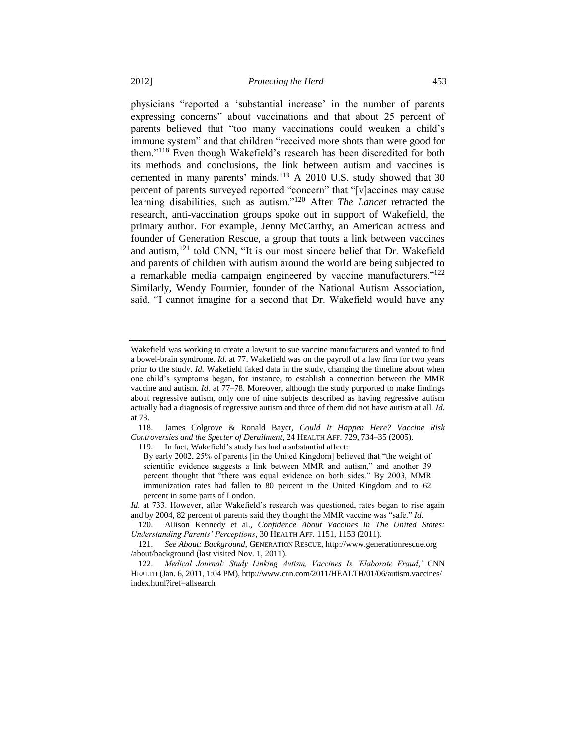<span id="page-16-1"></span><span id="page-16-0"></span>physicians "reported a 'substantial increase' in the number of parents expressing concerns" about vaccinations and that about 25 percent of parents believed that "too many vaccinations could weaken a child's immune system" and that children "received more shots than were good for them."<sup>118</sup> Even though Wakefield's research has been discredited for both its methods and conclusions, the link between autism and vaccines is cemented in many parents' minds.<sup>119</sup> A 2010 U.S. study showed that 30 percent of parents surveyed reported "concern" that "[v]accines may cause learning disabilities, such as autism."<sup>120</sup> After *The Lancet* retracted the research, anti-vaccination groups spoke out in support of Wakefield, the primary author. For example, Jenny McCarthy, an American actress and founder of Generation Rescue, a group that touts a link between vaccines and autism,<sup>121</sup> told CNN, "It is our most sincere belief that Dr. Wakefield and parents of children with autism around the world are being subjected to a remarkable media campaign engineered by vaccine manufacturers."<sup>122</sup> Similarly, Wendy Fournier, founder of the National Autism Association, said, "I cannot imagine for a second that Dr. Wakefield would have any

118. James Colgrove & Ronald Bayer, *Could It Happen Here? Vaccine Risk Controversies and the Specter of Derailment*, 24 HEALTH AFF. 729, 734–35 (2005).

119. In fact, Wakefield's study has had a substantial affect:

*Id.* at 733. However, after Wakefield's research was questioned, rates began to rise again and by 2004, 82 percent of parents said they thought the MMR vaccine was "safe." *Id.*

Wakefield was working to create a lawsuit to sue vaccine manufacturers and wanted to find a bowel-brain syndrome. *Id.* at 77. Wakefield was on the payroll of a law firm for two years prior to the study. *Id.* Wakefield faked data in the study, changing the timeline about when one child's symptoms began, for instance, to establish a connection between the MMR vaccine and autism. *Id.* at 77–78. Moreover, although the study purported to make findings about regressive autism, only one of nine subjects described as having regressive autism actually had a diagnosis of regressive autism and three of them did not have autism at all. *Id.* at 78.

By early 2002, 25% of parents [in the United Kingdom] believed that "the weight of scientific evidence suggests a link between MMR and autism," and another 39 percent thought that "there was equal evidence on both sides." By 2003, MMR immunization rates had fallen to 80 percent in the United Kingdom and to 62 percent in some parts of London.

<sup>120.</sup> Allison Kennedy et al., *Confidence About Vaccines In The United States: Understanding Parents' Perceptions*, 30 HEALTH AFF. 1151, 1153 (2011).

<sup>121.</sup> *See About: Background*, GENERATION RESCUE, http://www.generationrescue.org /about/background (last visited Nov. 1, 2011).

<sup>122.</sup> *Medical Journal: Study Linking Autism, Vaccines Is 'Elaborate Fraud*,*'* CNN HEALTH (Jan. 6, 2011, 1:04 PM), http://www.cnn.com/2011/HEALTH/01/06/autism.vaccines/ index.html?iref=allsearch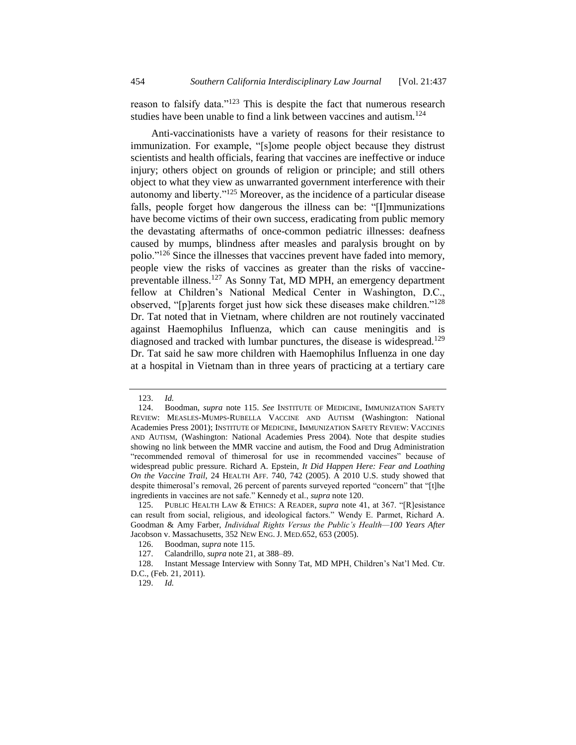reason to falsify data."<sup>123</sup> This is despite the fact that numerous research studies have been unable to find a link between vaccines and autism.  $124$ 

Anti-vaccinationists have a variety of reasons for their resistance to immunization. For example, "[s]ome people object because they distrust scientists and health officials, fearing that vaccines are ineffective or induce injury; others object on grounds of religion or principle; and still others object to what they view as unwarranted government interference with their autonomy and liberty."<sup>125</sup> Moreover, as the incidence of a particular disease falls, people forget how dangerous the illness can be: "[I]mmunizations have become victims of their own success, eradicating from public memory the devastating aftermaths of once-common pediatric illnesses: deafness caused by mumps, blindness after measles and paralysis brought on by polio."<sup>126</sup> Since the illnesses that vaccines prevent have faded into memory, people view the risks of vaccines as greater than the risks of vaccinepreventable illness.<sup>127</sup> As Sonny Tat, MD MPH, an emergency department fellow at Children's National Medical Center in Washington, D.C., observed, "[p]arents forget just how sick these diseases make children."<sup>128</sup> Dr. Tat noted that in Vietnam, where children are not routinely vaccinated against Haemophilus Influenza, which can cause meningitis and is diagnosed and tracked with lumbar punctures, the disease is widespread.<sup>129</sup> Dr. Tat said he saw more children with Haemophilus Influenza in one day at a hospital in Vietnam than in three years of practicing at a tertiary care

<sup>123.</sup> *Id.*

<sup>124.</sup> Boodman, *supra* note [115.](#page-15-0) *See* INSTITUTE OF MEDICINE, IMMUNIZATION SAFETY REVIEW: MEASLES-MUMPS-RUBELLA VACCINE AND AUTISM (Washington: National Academies Press 2001); INSTITUTE OF MEDICINE, IMMUNIZATION SAFETY REVIEW: VACCINES AND AUTISM, (Washington: National Academies Press 2004). Note that despite studies showing no link between the MMR vaccine and autism, the Food and Drug Administration "recommended removal of thimerosal for use in recommended vaccines" because of widespread public pressure. Richard A. Epstein, *It Did Happen Here: Fear and Loathing On the Vaccine Trail*, 24 HEALTH AFF. 740, 742 (2005). A 2010 U.S. study showed that despite thimerosal's removal, 26 percent of parents surveyed reported "concern" that "[t]he ingredients in vaccines are not safe." Kennedy et al., *supra* note [120.](#page-16-0)

<sup>125.</sup> PUBLIC HEALTH LAW & ETHICS: A READER, *supra* note [41,](#page-7-0) at 367. "[R]esistance can result from social, religious, and ideological factors." Wendy E. Parmet, Richard A. Goodman & Amy Farber, *Individual Rights Versus the Public's Health—100 Years After*  Jacobson v. Massachusetts, 352 NEW ENG. J. MED.652, 653 (2005).

<sup>126.</sup> Boodman, *supra* not[e 115.](#page-15-0)

<sup>127.</sup> Calandrillo, *supra* note [21,](#page-3-0) at 388–89.

<sup>128.</sup> Instant Message Interview with Sonny Tat, MD MPH, Children's Nat'l Med. Ctr. D.C., (Feb. 21, 2011).

<sup>129.</sup> *Id.*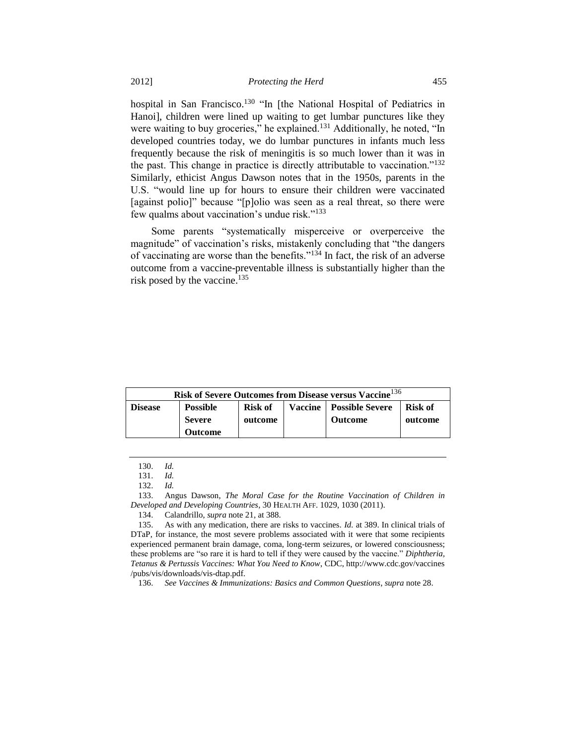hospital in San Francisco.<sup>130</sup> "In [the National Hospital of Pediatrics in Hanoi], children were lined up waiting to get lumbar punctures like they were waiting to buy groceries," he explained.<sup>131</sup> Additionally, he noted, "In developed countries today, we do lumbar punctures in infants much less frequently because the risk of meningitis is so much lower than it was in the past. This change in practice is directly attributable to vaccination."<sup>132</sup> Similarly, ethicist Angus Dawson notes that in the 1950s, parents in the U.S. "would line up for hours to ensure their children were vaccinated [against polio]" because "[p]olio was seen as a real threat, so there were few qualms about vaccination's undue risk."<sup>133</sup>

Some parents "systematically misperceive or overperceive the magnitude" of vaccination's risks, mistakenly concluding that "the dangers of vaccinating are worse than the benefits." $134$  In fact, the risk of an adverse outcome from a vaccine-preventable illness is substantially higher than the risk posed by the vaccine.<sup>135</sup>

| Risk of Severe Outcomes from Disease versus Vaccine <sup>136</sup> |                 |         |  |                                  |         |
|--------------------------------------------------------------------|-----------------|---------|--|----------------------------------|---------|
| <b>Disease</b>                                                     | <b>Possible</b> | Risk of |  | <b>Vaccine</b>   Possible Severe | Risk of |
|                                                                    | <b>Severe</b>   | outcome |  | Outcome                          | outcome |
|                                                                    | <b>Outcome</b>  |         |  |                                  |         |

<sup>130.</sup> *Id.*

<sup>131.</sup> *Id.*

<sup>132.</sup> *Id.*

<sup>133.</sup> Angus Dawson, *The Moral Case for the Routine Vaccination of Children in Developed and Developing Countries*, 30 HEALTH AFF. 1029, 1030 (2011).

<sup>134.</sup> Calandrillo, *supra* note [21,](#page-3-0) at 388.

<sup>135.</sup> As with any medication, there are risks to vaccines. *Id.* at 389. In clinical trials of DTaP, for instance, the most severe problems associated with it were that some recipients experienced permanent brain damage, coma, long-term seizures, or lowered consciousness; these problems are "so rare it is hard to tell if they were caused by the vaccine." *Diphtheria, Tetanus & Pertussis Vaccines: What You Need to Know*, CDC, http://www.cdc.gov/vaccines /pubs/vis/downloads/vis-dtap.pdf.

<sup>136.</sup> *See Vaccines & Immunizations: Basics and Common Questions*, *supra* not[e 28.](#page-4-0)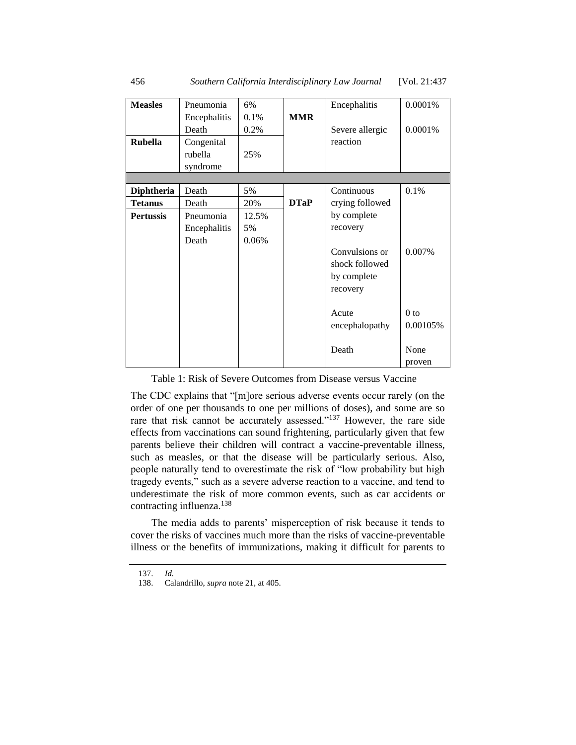| <b>Measles</b>    | Pneumonia    | 6%    |             | Encephalitis    | 0.0001%  |
|-------------------|--------------|-------|-------------|-----------------|----------|
|                   | Encephalitis | 0.1%  | <b>MMR</b>  |                 |          |
|                   | Death        | 0.2%  |             | Severe allergic | 0.0001%  |
| <b>Rubella</b>    | Congenital   |       |             | reaction        |          |
|                   | rubella      | 25%   |             |                 |          |
|                   | syndrome     |       |             |                 |          |
|                   |              |       |             |                 |          |
| <b>Diphtheria</b> | Death        | 5%    |             | Continuous      | 0.1%     |
| <b>Tetanus</b>    | Death        | 20%   | <b>DTaP</b> | crying followed |          |
| <b>Pertussis</b>  | Pneumonia    | 12.5% |             | by complete     |          |
|                   | Encephalitis | 5%    |             | recovery        |          |
|                   | Death        | 0.06% |             |                 |          |
|                   |              |       |             | Convulsions or  | 0.007%   |
|                   |              |       |             | shock followed  |          |
|                   |              |       |             | by complete     |          |
|                   |              |       |             | recovery        |          |
|                   |              |       |             |                 |          |
|                   |              |       |             | Acute           | $0$ to   |
|                   |              |       |             | encephalopathy  | 0.00105% |
|                   |              |       |             |                 |          |
|                   |              |       |             | Death           | None     |
|                   |              |       |             |                 | proven   |

Table 1: Risk of Severe Outcomes from Disease versus Vaccine

The CDC explains that "[m]ore serious adverse events occur rarely (on the order of one per thousands to one per millions of doses), and some are so rare that risk cannot be accurately assessed."<sup>137</sup> However, the rare side effects from vaccinations can sound frightening, particularly given that few parents believe their children will contract a vaccine-preventable illness, such as measles, or that the disease will be particularly serious. Also, people naturally tend to overestimate the risk of "low probability but high tragedy events," such as a severe adverse reaction to a vaccine, and tend to underestimate the risk of more common events, such as car accidents or contracting influenza.<sup>138</sup>

The media adds to parents' misperception of risk because it tends to cover the risks of vaccines much more than the risks of vaccine-preventable illness or the benefits of immunizations, making it difficult for parents to

<sup>137.</sup> *Id.*

<sup>138.</sup> Calandrillo, *supra* note [21,](#page-3-0) at 405.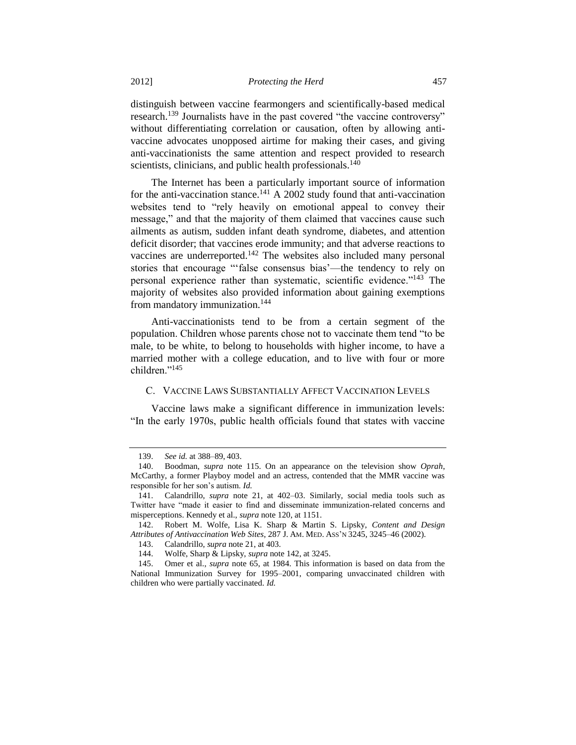distinguish between vaccine fearmongers and scientifically-based medical research.<sup>139</sup> Journalists have in the past covered "the vaccine controversy" without differentiating correlation or causation, often by allowing antivaccine advocates unopposed airtime for making their cases, and giving anti-vaccinationists the same attention and respect provided to research scientists, clinicians, and public health professionals.<sup>140</sup>

The Internet has been a particularly important source of information for the anti-vaccination stance.<sup>141</sup> A 2002 study found that anti-vaccination websites tend to "rely heavily on emotional appeal to convey their message," and that the majority of them claimed that vaccines cause such ailments as autism, sudden infant death syndrome, diabetes, and attention deficit disorder; that vaccines erode immunity; and that adverse reactions to vaccines are underreported.<sup>142</sup> The websites also included many personal stories that encourage "'false consensus bias'—the tendency to rely on personal experience rather than systematic, scientific evidence."<sup>143</sup> The majority of websites also provided information about gaining exemptions from mandatory immunization.<sup>144</sup>

<span id="page-20-0"></span>Anti-vaccinationists tend to be from a certain segment of the population. Children whose parents chose not to vaccinate them tend "to be male, to be white, to belong to households with higher income, to have a married mother with a college education, and to live with four or more children<sup>"145</sup>

## C. VACCINE LAWS SUBSTANTIALLY AFFECT VACCINATION LEVELS

Vaccine laws make a significant difference in immunization levels: "In the early 1970s, public health officials found that states with vaccine

<sup>139.</sup> *See id.* at 388–89, 403.

<sup>140.</sup> Boodman, *supra* note [115.](#page-15-0) On an appearance on the television show *Oprah*, McCarthy, a former Playboy model and an actress, contended that the MMR vaccine was responsible for her son's autism. *Id.*

<sup>141.</sup> Calandrillo, *supra* note [21,](#page-3-0) at 402–03. Similarly, social media tools such as Twitter have "made it easier to find and disseminate immunization-related concerns and misperceptions. Kennedy et al., *supra* not[e 120,](#page-16-0) at 1151.

<sup>142.</sup> Robert M. Wolfe, Lisa K. Sharp & Martin S. Lipsky, *Content and Design Attributes of Antivaccination Web Sites*, 287 J. AM. MED. ASS'N 3245, 3245–46 (2002).

<sup>143.</sup> Calandrillo, *supra* note [21,](#page-3-0) at 403.

<sup>144.</sup> Wolfe, Sharp & Lipsky, *supra* not[e 142,](#page-20-0) at 3245.

<sup>145.</sup> Omer et al., *supra* note [65,](#page-9-1) at 1984. This information is based on data from the National Immunization Survey for 1995–2001, comparing unvaccinated children with children who were partially vaccinated. *Id.*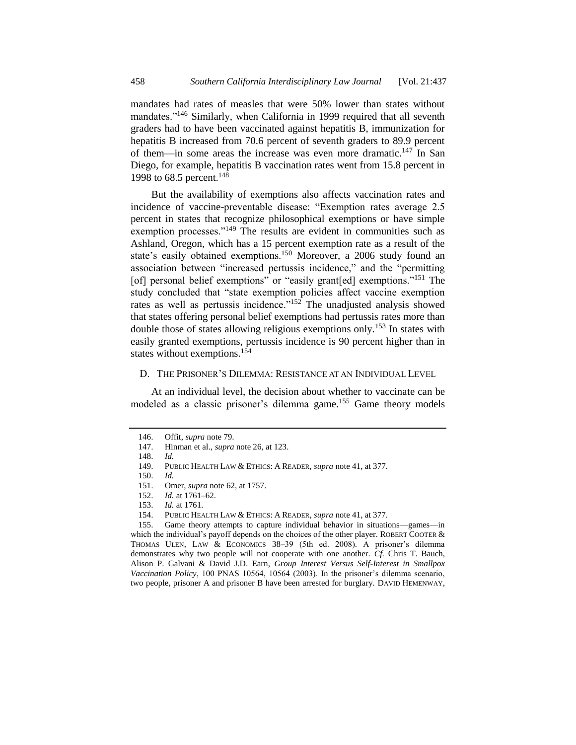mandates had rates of measles that were 50% lower than states without mandates."<sup>146</sup> Similarly, when California in 1999 required that all seventh graders had to have been vaccinated against hepatitis B, immunization for hepatitis B increased from 70.6 percent of seventh graders to 89.9 percent of them—in some areas the increase was even more dramatic.<sup>147</sup> In San Diego, for example, hepatitis B vaccination rates went from 15.8 percent in 1998 to 68.5 percent.<sup>148</sup>

But the availability of exemptions also affects vaccination rates and incidence of vaccine-preventable disease: "Exemption rates average 2.5 percent in states that recognize philosophical exemptions or have simple exemption processes."<sup>149</sup> The results are evident in communities such as Ashland, Oregon, which has a 15 percent exemption rate as a result of the state's easily obtained exemptions.<sup>150</sup> Moreover, a 2006 study found an association between "increased pertussis incidence," and the "permitting [of] personal belief exemptions" or "easily grant[ed] exemptions."<sup>151</sup> The study concluded that "state exemption policies affect vaccine exemption rates as well as pertussis incidence."<sup>152</sup> The unadjusted analysis showed that states offering personal belief exemptions had pertussis rates more than double those of states allowing religious exemptions only.<sup>153</sup> In states with easily granted exemptions, pertussis incidence is 90 percent higher than in states without exemptions.<sup>154</sup>

#### <span id="page-21-0"></span>D. THE PRISONER'S DILEMMA: RESISTANCE AT AN INDIVIDUAL LEVEL

At an individual level, the decision about whether to vaccinate can be modeled as a classic prisoner's dilemma game.<sup>155</sup> Game theory models

<sup>146.</sup> Offit, *supra* not[e 79.](#page-11-1)

<sup>147.</sup> Hinman et al., *supra* note [26,](#page-4-1) at 123.

<sup>148.</sup> *Id.*

<sup>149.</sup> PUBLIC HEALTH LAW & ETHICS: A READER, *supra* not[e 41,](#page-7-0) at 377.

<sup>150.</sup> *Id.*

<sup>151.</sup> Omer, *supra* not[e 62,](#page-9-2) at 1757.

<sup>152.</sup> *Id.* at 1761–62.

<sup>153.</sup> *Id.* at 1761.

<sup>154.</sup> PUBLIC HEALTH LAW & ETHICS: A READER, *supra* not[e 41,](#page-7-0) at 377.

<sup>155.</sup> Game theory attempts to capture individual behavior in situations—games—in which the individual's payoff depends on the choices of the other player. ROBERT COOTER  $\&$ THOMAS ULEN, LAW & ECONOMICS 38–39 (5th ed. 2008). A prisoner's dilemma demonstrates why two people will not cooperate with one another. *Cf.* Chris T. Bauch, Alison P. Galvani & David J.D. Earn, *Group Interest Versus Self-Interest in Smallpox Vaccination Policy*, 100 PNAS 10564, 10564 (2003). In the prisoner's dilemma scenario, two people, prisoner A and prisoner B have been arrested for burglary. DAVID HEMENWAY,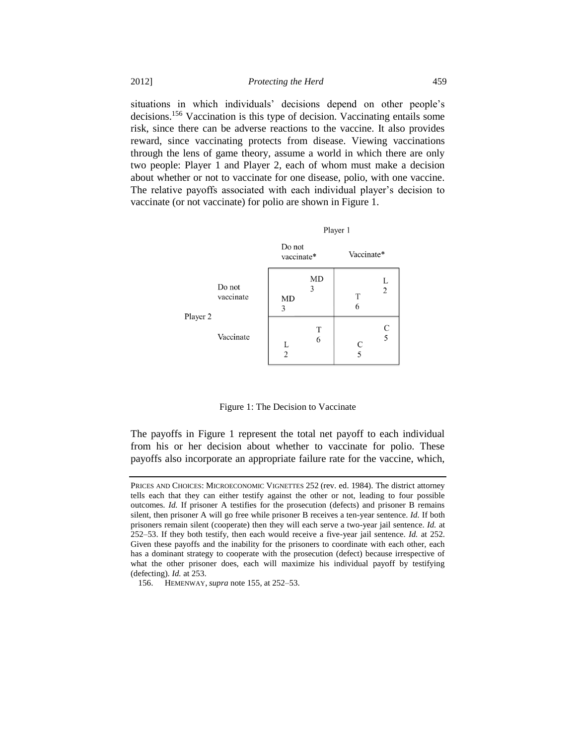situations in which individuals' decisions depend on other people's decisions.<sup>156</sup> Vaccination is this type of decision. Vaccinating entails some risk, since there can be adverse reactions to the vaccine. It also provides reward, since vaccinating protects from disease. Viewing vaccinations through the lens of game theory, assume a world in which there are only two people: Player 1 and Player 2, each of whom must make a decision about whether or not to vaccinate for one disease, polio, with one vaccine. The relative payoffs associated with each individual player's decision to vaccinate (or not vaccinate) for polio are shown in Figure 1.



Figure 1: The Decision to Vaccinate

The payoffs in Figure 1 represent the total net payoff to each individual from his or her decision about whether to vaccinate for polio. These payoffs also incorporate an appropriate failure rate for the vaccine, which,

PRICES AND CHOICES: MICROECONOMIC VIGNETTES 252 (rev. ed. 1984). The district attorney tells each that they can either testify against the other or not, leading to four possible outcomes. *Id.* If prisoner A testifies for the prosecution (defects) and prisoner B remains silent, then prisoner A will go free while prisoner B receives a ten-year sentence. *Id.* If both prisoners remain silent (cooperate) then they will each serve a two-year jail sentence. *Id.* at 252–53. If they both testify, then each would receive a five-year jail sentence. *Id.* at 252. Given these payoffs and the inability for the prisoners to coordinate with each other, each has a dominant strategy to cooperate with the prosecution (defect) because irrespective of what the other prisoner does, each will maximize his individual payoff by testifying (defecting). *Id.* at 253.

<sup>156.</sup> HEMENWAY, *supra* not[e 155,](#page-21-0) at 252–53.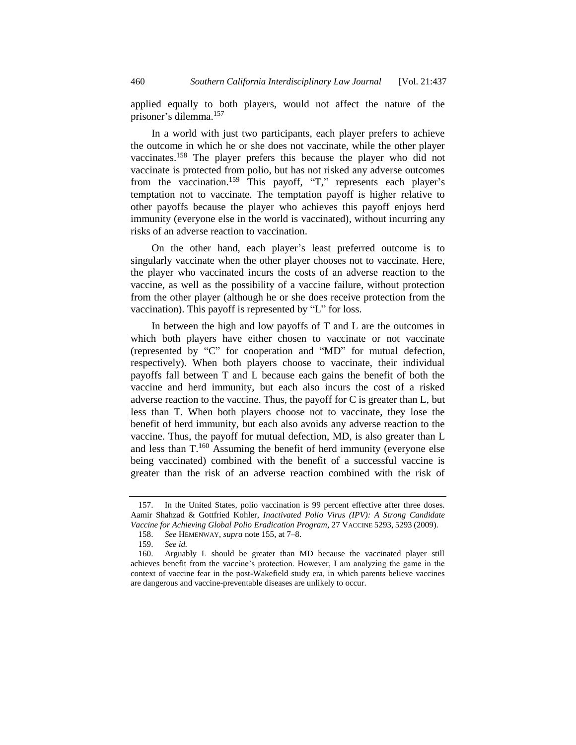applied equally to both players, would not affect the nature of the prisoner's dilemma.<sup>157</sup>

In a world with just two participants, each player prefers to achieve the outcome in which he or she does not vaccinate, while the other player vaccinates.<sup>158</sup> The player prefers this because the player who did not vaccinate is protected from polio, but has not risked any adverse outcomes from the vaccination.<sup>159</sup> This payoff, "T," represents each player's temptation not to vaccinate. The temptation payoff is higher relative to other payoffs because the player who achieves this payoff enjoys herd immunity (everyone else in the world is vaccinated), without incurring any risks of an adverse reaction to vaccination.

On the other hand, each player's least preferred outcome is to singularly vaccinate when the other player chooses not to vaccinate. Here, the player who vaccinated incurs the costs of an adverse reaction to the vaccine, as well as the possibility of a vaccine failure, without protection from the other player (although he or she does receive protection from the vaccination). This payoff is represented by "L" for loss.

In between the high and low payoffs of  $T$  and  $L$  are the outcomes in which both players have either chosen to vaccinate or not vaccinate (represented by "C" for cooperation and "MD" for mutual defection, respectively). When both players choose to vaccinate, their individual payoffs fall between T and L because each gains the benefit of both the vaccine and herd immunity, but each also incurs the cost of a risked adverse reaction to the vaccine. Thus, the payoff for C is greater than L, but less than T. When both players choose not to vaccinate, they lose the benefit of herd immunity, but each also avoids any adverse reaction to the vaccine. Thus, the payoff for mutual defection, MD, is also greater than L and less than  $T^{160}$  Assuming the benefit of herd immunity (everyone else being vaccinated) combined with the benefit of a successful vaccine is greater than the risk of an adverse reaction combined with the risk of

<sup>157.</sup> In the United States, polio vaccination is 99 percent effective after three doses. Aamir Shahzad & Gottfried Kohler, *Inactivated Polio Virus (IPV): A Strong Candidate Vaccine for Achieving Global Polio Eradication Program*, 27 VACCINE 5293, 5293 (2009).

<sup>158.</sup> *See* HEMENWAY, *supra* note [155,](#page-21-0) at 7–8.

<sup>159.</sup> *See id.* 

<sup>160.</sup> Arguably L should be greater than MD because the vaccinated player still achieves benefit from the vaccine's protection. However, I am analyzing the game in the context of vaccine fear in the post-Wakefield study era, in which parents believe vaccines are dangerous and vaccine-preventable diseases are unlikely to occur.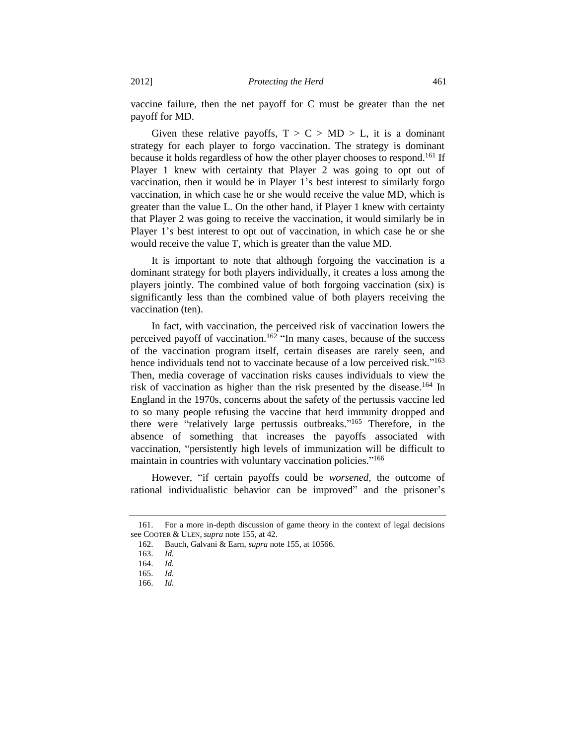vaccine failure, then the net payoff for C must be greater than the net payoff for MD.

Given these relative payoffs,  $T > C > MD > L$ , it is a dominant strategy for each player to forgo vaccination. The strategy is dominant because it holds regardless of how the other player chooses to respond.<sup>161</sup> If Player 1 knew with certainty that Player 2 was going to opt out of vaccination, then it would be in Player 1's best interest to similarly forgo vaccination, in which case he or she would receive the value MD, which is greater than the value L. On the other hand, if Player 1 knew with certainty that Player 2 was going to receive the vaccination, it would similarly be in Player 1's best interest to opt out of vaccination, in which case he or she would receive the value T, which is greater than the value MD.

It is important to note that although forgoing the vaccination is a dominant strategy for both players individually, it creates a loss among the players jointly. The combined value of both forgoing vaccination (six) is significantly less than the combined value of both players receiving the vaccination (ten).

In fact, with vaccination, the perceived risk of vaccination lowers the perceived payoff of vaccination.<sup>162</sup> "In many cases, because of the success of the vaccination program itself, certain diseases are rarely seen, and hence individuals tend not to vaccinate because of a low perceived risk."<sup>163</sup> Then, media coverage of vaccination risks causes individuals to view the risk of vaccination as higher than the risk presented by the disease.<sup>164</sup> In England in the 1970s, concerns about the safety of the pertussis vaccine led to so many people refusing the vaccine that herd immunity dropped and there were "relatively large pertussis outbreaks." <sup>165</sup> Therefore, in the absence of something that increases the payoffs associated with vaccination, "persistently high levels of immunization will be difficult to maintain in countries with voluntary vaccination policies."<sup>166</sup>

However, "if certain payoffs could be *worsened*, the outcome of rational individualistic behavior can be improved" and the prisoner's

<sup>161.</sup> For a more in-depth discussion of game theory in the context of legal decisions see COOTER & ULEN, *supra* not[e 155,](#page-21-0) at 42.

<sup>162.</sup> Bauch, Galvani & Earn, *supra* not[e 155,](#page-21-0) at 10566.

<sup>163.</sup> *Id.*

<sup>164.</sup> *Id.*

<sup>165.</sup> *Id.*

<sup>166.</sup> *Id.*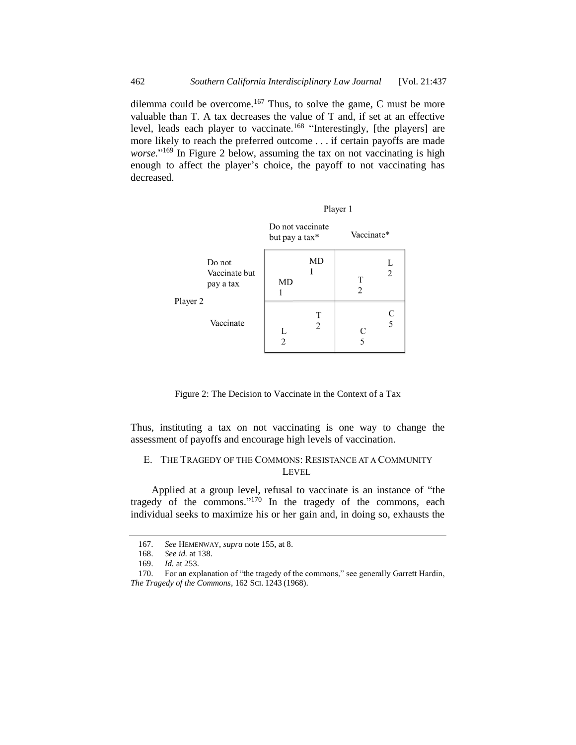dilemma could be overcome.<sup>167</sup> Thus, to solve the game, C must be more valuable than T. A tax decreases the value of T and, if set at an effective level, leads each player to vaccinate.<sup>168</sup> "Interestingly, [the players] are more likely to reach the preferred outcome . . . if certain payoffs are made *worse.*" <sup>169</sup> In Figure 2 below, assuming the tax on not vaccinating is high enough to affect the player's choice, the payoff to not vaccinating has decreased.

|          |                                      | Player 1                           |        |            |                     |  |
|----------|--------------------------------------|------------------------------------|--------|------------|---------------------|--|
|          |                                      | Do not vaccinate<br>but pay a tax* |        | Vaccinate* |                     |  |
| Player 2 | Do not<br>Vaccinate but<br>pay a tax | MD                                 | MD     | T<br>2     | L<br>$\overline{2}$ |  |
|          | Vaccinate                            | L<br>$\overline{2}$                | т<br>2 | C<br>5     | C<br>$\overline{5}$ |  |

Figure 2: The Decision to Vaccinate in the Context of a Tax

Thus, instituting a tax on not vaccinating is one way to change the assessment of payoffs and encourage high levels of vaccination.

# E. THE TRAGEDY OF THE COMMONS: RESISTANCE AT A COMMUNITY LEVEL

Applied at a group level, refusal to vaccinate is an instance of "the tragedy of the commons."<sup>170</sup> In the tragedy of the commons, each individual seeks to maximize his or her gain and, in doing so, exhausts the

<sup>167.</sup> *See* HEMENWAY, *supra* note [155,](#page-21-0) at 8.

<sup>168.</sup> *See id.* at 138.

<sup>169.</sup> *Id.* at 253.

<sup>170.</sup> For an explanation of "the tragedy of the commons," see generally Garrett Hardin, *The Tragedy of the Commons*, 162 SCI. 1243 (1968).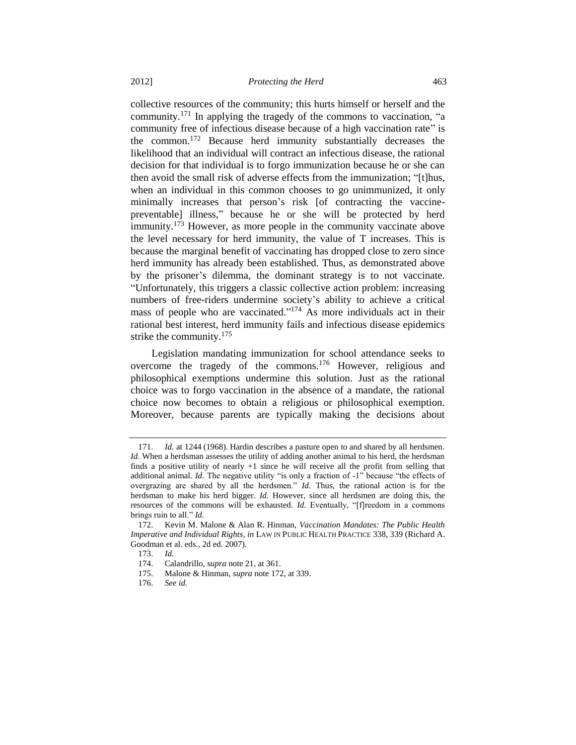<span id="page-26-0"></span>collective resources of the community; this hurts himself or herself and the community.<sup>171</sup> In applying the tragedy of the commons to vaccination, "a community free of infectious disease because of a high vaccination rate" is the common. <sup>172</sup> Because herd immunity substantially decreases the likelihood that an individual will contract an infectious disease, the rational decision for that individual is to forgo immunization because he or she can then avoid the small risk of adverse effects from the immunization; "[t]hus, when an individual in this common chooses to go unimmunized, it only minimally increases that person's risk [of contracting the vaccinepreventable] illness," because he or she will be protected by herd immunity.<sup>173</sup> However, as more people in the community vaccinate above the level necessary for herd immunity, the value of T increases. This is because the marginal benefit of vaccinating has dropped close to zero since herd immunity has already been established. Thus, as demonstrated above by the prisoner's dilemma, the dominant strategy is to not vaccinate. "Unfortunately, this triggers a classic collective action problem: increasing numbers of free-riders undermine society's ability to achieve a critical mass of people who are vaccinated."<sup>174</sup> As more individuals act in their rational best interest, herd immunity fails and infectious disease epidemics strike the community.<sup>175</sup>

Legislation mandating immunization for school attendance seeks to overcome the tragedy of the commons.<sup>176</sup> However, religious and philosophical exemptions undermine this solution. Just as the rational choice was to forgo vaccination in the absence of a mandate, the rational choice now becomes to obtain a religious or philosophical exemption. Moreover, because parents are typically making the decisions about

<sup>171.</sup> *Id.* at 1244 (1968). Hardin describes a pasture open to and shared by all herdsmen. *Id.* When a herdsman assesses the utility of adding another animal to his herd, the herdsman finds a positive utility of nearly +1 since he will receive all the profit from selling that additional animal. *Id*. The negative utility "is only a fraction of -1" because "the effects of overgrazing are shared by all the herdsmen." *Id.* Thus, the rational action is for the herdsman to make his herd bigger. *Id.* However, since all herdsmen are doing this, the resources of the commons will be exhausted. *Id.* Eventually, "[f]reedom in a commons brings ruin to all." *Id.*

<sup>172.</sup> Kevin M. Malone & Alan R. Hinman, *Vaccination Mandates: The Public Health Imperative and Individual Rights*, *in* LAW IN PUBLIC HEALTH PRACTICE 338, 339 (Richard A. Goodman et al. eds., 2d ed. 2007).

<sup>173.</sup> *Id.*

<sup>174.</sup> Calandrillo, *supra* note [21,](#page-3-0) at 361.

<sup>175.</sup> Malone & Hinman, *supra* not[e 172,](#page-26-0) at 339.

<sup>176.</sup> *See id.*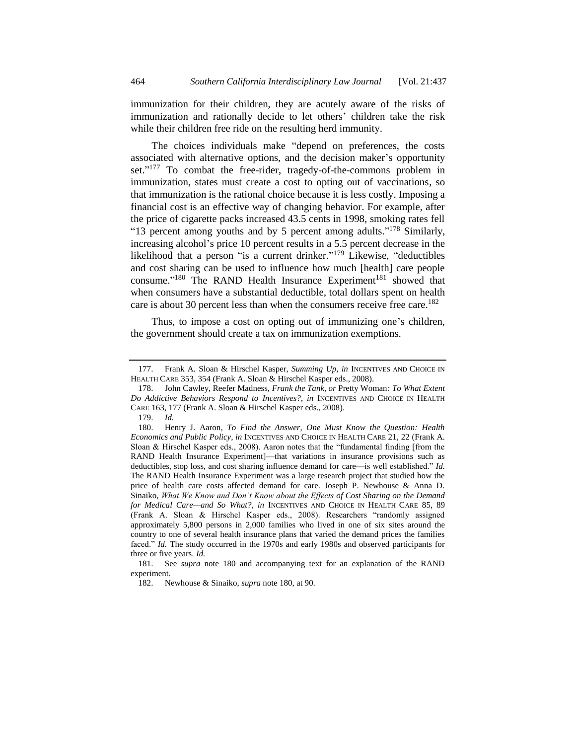immunization for their children, they are acutely aware of the risks of immunization and rationally decide to let others' children take the risk while their children free ride on the resulting herd immunity.

The choices individuals make "depend on preferences, the costs associated with alternative options, and the decision maker's opportunity set."<sup>177</sup> To combat the free-rider, tragedy-of-the-commons problem in immunization, states must create a cost to opting out of vaccinations, so that immunization is the rational choice because it is less costly. Imposing a financial cost is an effective way of changing behavior. For example, after the price of cigarette packs increased 43.5 cents in 1998, smoking rates fell "13 percent among youths and by 5 percent among adults."<sup>178</sup> Similarly, increasing alcohol's price 10 percent results in a 5.5 percent decrease in the likelihood that a person "is a current drinker."<sup>179</sup> Likewise, "deductibles and cost sharing can be used to influence how much [health] care people consume."<sup>180</sup> The RAND Health Insurance Experiment<sup>181</sup> showed that when consumers have a substantial deductible, total dollars spent on health care is about 30 percent less than when the consumers receive free care.<sup>182</sup>

<span id="page-27-0"></span>Thus, to impose a cost on opting out of immunizing one's children, the government should create a tax on immunization exemptions.

<sup>177.</sup> Frank A. Sloan & Hirschel Kasper, *Summing Up*, *in* INCENTIVES AND CHOICE IN HEALTH CARE 353, 354 (Frank A. Sloan & Hirschel Kasper eds., 2008).

<sup>178.</sup> John Cawley, Reefer Madness, *Frank the Tank, or* Pretty Woman*: To What Extent Do Addictive Behaviors Respond to Incentives?*, *in* INCENTIVES AND CHOICE IN HEALTH CARE 163, 177 (Frank A. Sloan & Hirschel Kasper eds., 2008).

<sup>179.</sup> *Id.*

<sup>180.</sup> Henry J. Aaron, *To Find the Answer, One Must Know the Question: Health Economics and Public Policy*, *in* INCENTIVES AND CHOICE IN HEALTH CARE 21, 22 (Frank A. Sloan & Hirschel Kasper eds., 2008). Aaron notes that the "fundamental finding [from the RAND Health Insurance Experiment]—that variations in insurance provisions such as deductibles, stop loss, and cost sharing influence demand for care—is well established." *Id.* The RAND Health Insurance Experiment was a large research project that studied how the price of health care costs affected demand for care. Joseph P. Newhouse & Anna D. Sinaiko, *What We Know and Don't Know about the Effects of Cost Sharing on the Demand for Medical Care—and So What?*, *in* INCENTIVES AND CHOICE IN HEALTH CARE 85, 89 (Frank A. Sloan & Hirschel Kasper eds., 2008). Researchers "randomly assigned approximately 5,800 persons in 2,000 families who lived in one of six sites around the country to one of several health insurance plans that varied the demand prices the families faced." *Id.* The study occurred in the 1970s and early 1980s and observed participants for three or five years. *Id.*

<sup>181.</sup> See *supra* note [180](#page-27-0) and accompanying text for an explanation of the RAND experiment.

<sup>182.</sup> Newhouse & Sinaiko, *supra* not[e 180,](#page-27-0) at 90.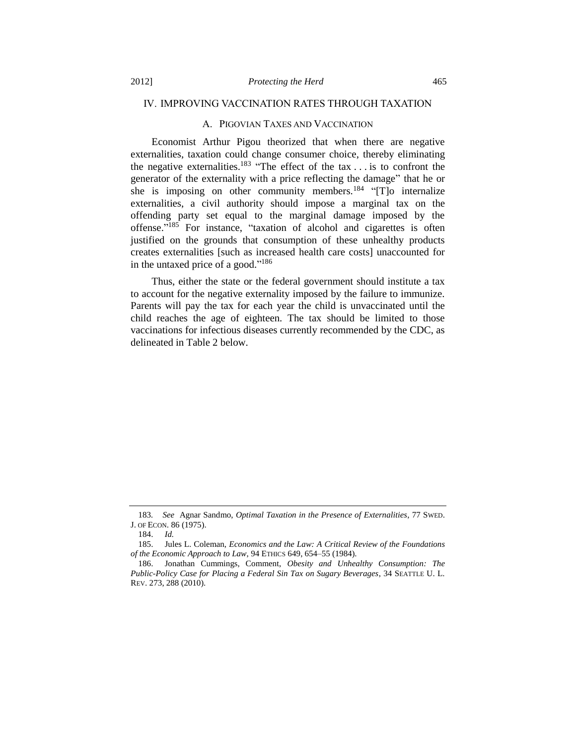#### IV. IMPROVING VACCINATION RATES THROUGH TAXATION

## A. PIGOVIAN TAXES AND VACCINATION

Economist Arthur Pigou theorized that when there are negative externalities, taxation could change consumer choice, thereby eliminating the negative externalities.<sup>183</sup> "The effect of the tax  $\dots$  is to confront the generator of the externality with a price reflecting the damage" that he or she is imposing on other community members.<sup>184</sup> "[T]o internalize externalities, a civil authority should impose a marginal tax on the offending party set equal to the marginal damage imposed by the offense." <sup>185</sup> For instance, "taxation of alcohol and cigarettes is often justified on the grounds that consumption of these unhealthy products creates externalities [such as increased health care costs] unaccounted for in the untaxed price of a good."<sup>186</sup>

<span id="page-28-0"></span>Thus, either the state or the federal government should institute a tax to account for the negative externality imposed by the failure to immunize. Parents will pay the tax for each year the child is unvaccinated until the child reaches the age of eighteen. The tax should be limited to those vaccinations for infectious diseases currently recommended by the CDC, as delineated in Table 2 below.

<sup>183</sup>*. See* Agnar Sandmo, *Optimal Taxation in the Presence of Externalities*, 77 SWED. J. OF ECON. 86 (1975).

<sup>184.</sup> *Id.*

<sup>185.</sup> Jules L. Coleman, *Economics and the Law: A Critical Review of the Foundations of the Economic Approach to Law*, 94 ETHICS 649, 654–55 (1984).

<sup>186.</sup> Jonathan Cummings, Comment, *Obesity and Unhealthy Consumption: The Public-Policy Case for Placing a Federal Sin Tax on Sugary Beverages*, 34 SEATTLE U. L. REV. 273, 288 (2010).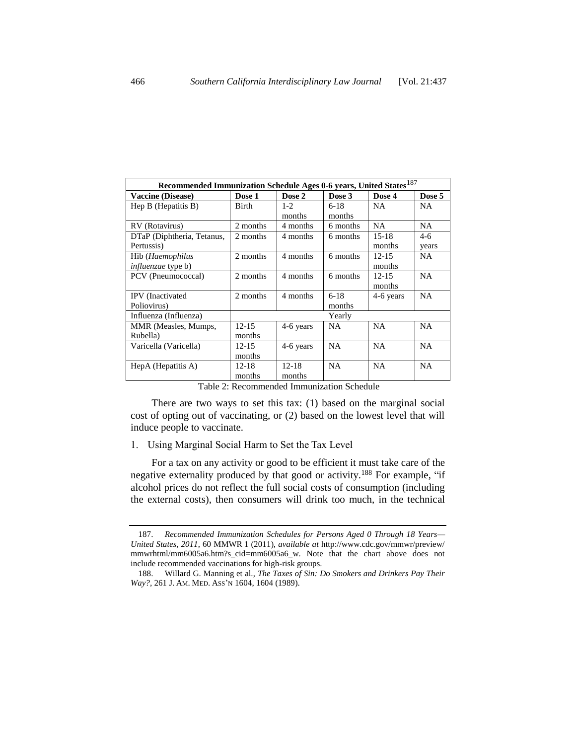| Recommended Immunization Schedule Ages 0-6 years, United States <sup>187</sup> |           |           |           |           |           |  |  |
|--------------------------------------------------------------------------------|-----------|-----------|-----------|-----------|-----------|--|--|
| <b>Vaccine (Disease)</b>                                                       | Dose 1    | Dose 2    | Dose 3    | Dose 4    | Dose 5    |  |  |
| Hep B (Hepatitis B)                                                            | Birth     | $1 - 2$   | $6-18$    | <b>NA</b> | <b>NA</b> |  |  |
|                                                                                |           | months    | months    |           |           |  |  |
| RV (Rotavirus)                                                                 | 2 months  | 4 months  | 6 months  | <b>NA</b> | NA.       |  |  |
| DTaP (Diphtheria, Tetanus,                                                     | 2 months  | 4 months  | 6 months  | $15-18$   | $4-6$     |  |  |
| Pertussis)                                                                     |           |           |           | months    | years     |  |  |
| Hib ( <i>Haemophilus</i>                                                       | 2 months  | 4 months  | 6 months  | $12 - 15$ | <b>NA</b> |  |  |
| <i>influenzae</i> type b)                                                      |           |           |           | months    |           |  |  |
| PCV (Pneumococcal)                                                             | 2 months  | 4 months  | 6 months  | $12 - 15$ | <b>NA</b> |  |  |
|                                                                                |           |           |           | months    |           |  |  |
| <b>IPV</b> (Inactivated                                                        | 2 months  | 4 months  | $6-18$    | 4-6 years | <b>NA</b> |  |  |
| Poliovirus)                                                                    |           |           | months    |           |           |  |  |
| Influenza (Influenza)                                                          |           |           | Yearly    |           |           |  |  |
| MMR (Measles, Mumps,                                                           | $12 - 15$ | 4-6 years | <b>NA</b> | <b>NA</b> | <b>NA</b> |  |  |
| Rubella)                                                                       | months    |           |           |           |           |  |  |
| Varicella (Varicella)                                                          | $12 - 15$ | 4-6 years | <b>NA</b> | <b>NA</b> | <b>NA</b> |  |  |
|                                                                                | months    |           |           |           |           |  |  |
| HepA (Hepatitis A)                                                             | $12 - 18$ | $12 - 18$ | <b>NA</b> | NA        | <b>NA</b> |  |  |
|                                                                                | months    | months    |           |           |           |  |  |

<span id="page-29-0"></span>Table 2: Recommended Immunization Schedule

There are two ways to set this tax: (1) based on the marginal social cost of opting out of vaccinating, or (2) based on the lowest level that will induce people to vaccinate.

1. Using Marginal Social Harm to Set the Tax Level

For a tax on any activity or good to be efficient it must take care of the negative externality produced by that good or activity.<sup>188</sup> For example, "if alcohol prices do not reflect the full social costs of consumption (including the external costs), then consumers will drink too much, in the technical

<sup>187.</sup> *Recommended Immunization Schedules for Persons Aged 0 Through 18 Years— United States, 2011*, 60 MMWR 1 (2011), *available at* http://www.cdc.gov/mmwr/preview/ mmwrhtml/mm6005a6.htm?s\_cid=mm6005a6\_w. Note that the chart above does not include recommended vaccinations for high-risk groups.

<sup>188.</sup> Willard G. Manning et al., *The Taxes of Sin: Do Smokers and Drinkers Pay Their Way?*, 261 J. AM. MED. ASS'N 1604, 1604 (1989).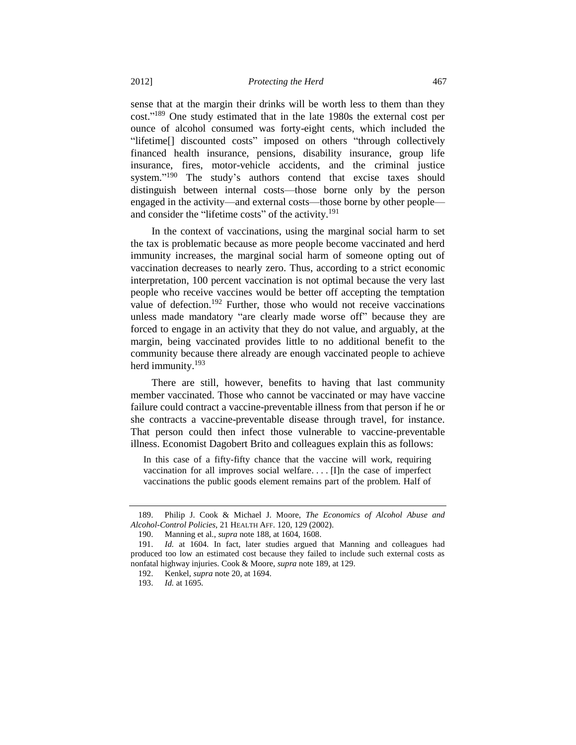<span id="page-30-0"></span>sense that at the margin their drinks will be worth less to them than they cost."<sup>189</sup> One study estimated that in the late 1980s the external cost per ounce of alcohol consumed was forty-eight cents, which included the "lifetime[] discounted costs" imposed on others "through collectively financed health insurance, pensions, disability insurance, group life insurance, fires, motor-vehicle accidents, and the criminal justice system." <sup>190</sup> The study's authors contend that excise taxes should distinguish between internal costs—those borne only by the person engaged in the activity—and external costs—those borne by other people and consider the "lifetime costs" of the activity.<sup>191</sup>

In the context of vaccinations, using the marginal social harm to set the tax is problematic because as more people become vaccinated and herd immunity increases, the marginal social harm of someone opting out of vaccination decreases to nearly zero. Thus, according to a strict economic interpretation, 100 percent vaccination is not optimal because the very last people who receive vaccines would be better off accepting the temptation value of defection.<sup>192</sup> Further, those who would not receive vaccinations unless made mandatory "are clearly made worse off" because they are forced to engage in an activity that they do not value, and arguably, at the margin, being vaccinated provides little to no additional benefit to the community because there already are enough vaccinated people to achieve herd immunity.<sup>193</sup>

There are still, however, benefits to having that last community member vaccinated. Those who cannot be vaccinated or may have vaccine failure could contract a vaccine-preventable illness from that person if he or she contracts a vaccine-preventable disease through travel, for instance. That person could then infect those vulnerable to vaccine-preventable illness. Economist Dagobert Brito and colleagues explain this as follows:

In this case of a fifty-fifty chance that the vaccine will work, requiring vaccination for all improves social welfare. . . . [I]n the case of imperfect vaccinations the public goods element remains part of the problem. Half of

<sup>189.</sup> Philip J. Cook & Michael J. Moore, *The Economics of Alcohol Abuse and Alcohol-Control Policies*, 21 HEALTH AFF. 120, 129 (2002).

<sup>190.</sup> Manning et al., *supra* not[e 188,](#page-29-0) at 1604, 1608.

<sup>191.</sup> *Id.* at 1604*.* In fact, later studies argued that Manning and colleagues had produced too low an estimated cost because they failed to include such external costs as nonfatal highway injuries. Cook & Moore, *supra* not[e 189,](#page-30-0) at 129.

<sup>192.</sup> Kenkel, *supra* not[e 20,](#page-3-1) at 1694.

<sup>193.</sup> *Id.* at 1695.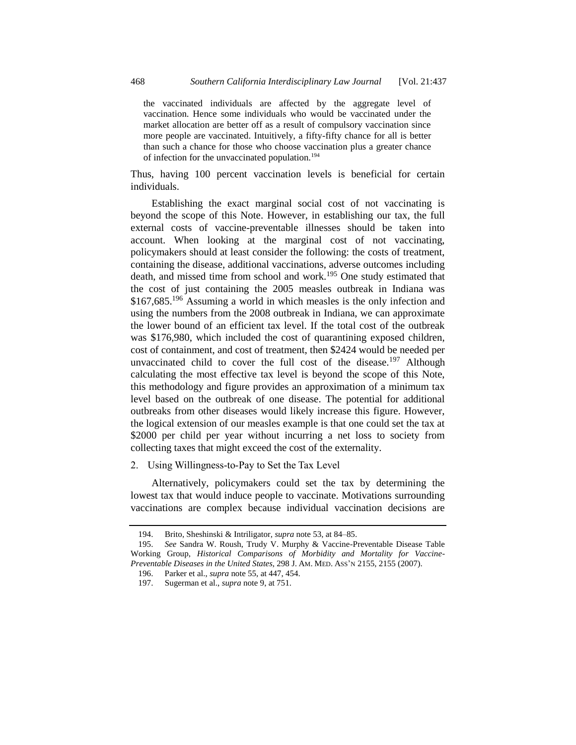the vaccinated individuals are affected by the aggregate level of vaccination. Hence some individuals who would be vaccinated under the market allocation are better off as a result of compulsory vaccination since more people are vaccinated. Intuitively, a fifty-fifty chance for all is better than such a chance for those who choose vaccination plus a greater chance of infection for the unvaccinated population.<sup>194</sup>

Thus, having 100 percent vaccination levels is beneficial for certain individuals.

Establishing the exact marginal social cost of not vaccinating is beyond the scope of this Note. However, in establishing our tax, the full external costs of vaccine-preventable illnesses should be taken into account. When looking at the marginal cost of not vaccinating, policymakers should at least consider the following: the costs of treatment, containing the disease, additional vaccinations, adverse outcomes including death, and missed time from school and work.<sup>195</sup> One study estimated that the cost of just containing the 2005 measles outbreak in Indiana was \$167,685.<sup>196</sup> Assuming a world in which measles is the only infection and using the numbers from the 2008 outbreak in Indiana, we can approximate the lower bound of an efficient tax level. If the total cost of the outbreak was \$176,980, which included the cost of quarantining exposed children, cost of containment, and cost of treatment, then \$2424 would be needed per unvaccinated child to cover the full cost of the disease.<sup>197</sup> Although calculating the most effective tax level is beyond the scope of this Note, this methodology and figure provides an approximation of a minimum tax level based on the outbreak of one disease. The potential for additional outbreaks from other diseases would likely increase this figure. However, the logical extension of our measles example is that one could set the tax at \$2000 per child per year without incurring a net loss to society from collecting taxes that might exceed the cost of the externality.

2. Using Willingness-to-Pay to Set the Tax Level

Alternatively, policymakers could set the tax by determining the lowest tax that would induce people to vaccinate. Motivations surrounding vaccinations are complex because individual vaccination decisions are

<sup>194.</sup> Brito, Sheshinski & Intriligator, *supra* not[e 53,](#page-8-1) at 84–85.

<sup>195.</sup> *See* Sandra W. Roush, Trudy V. Murphy & Vaccine-Preventable Disease Table Working Group, *Historical Comparisons of Morbidity and Mortality for Vaccine-Preventable Diseases in the United States*, 298 J. AM. MED. ASS'N 2155, 2155 (2007).

<sup>196.</sup> Parker et al., *supra* not[e 55,](#page-8-0) at 447, 454.

<sup>197.</sup> Sugerman et al., *supra* not[e 9,](#page-2-0) at 751.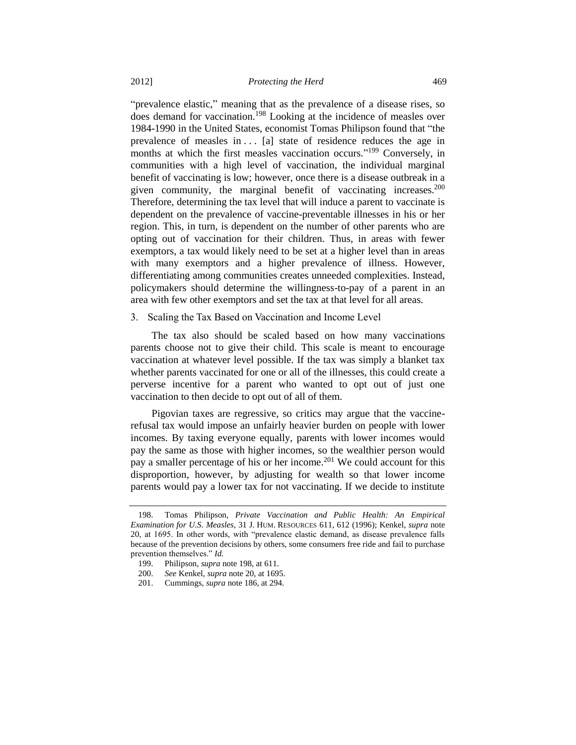<span id="page-32-0"></span>"prevalence elastic," meaning that as the prevalence of a disease rises, so does demand for vaccination.<sup>198</sup> Looking at the incidence of measles over 1984-1990 in the United States, economist Tomas Philipson found that "the prevalence of measles in . . . [a] state of residence reduces the age in months at which the first measles vaccination occurs." <sup>199</sup> Conversely, in communities with a high level of vaccination, the individual marginal benefit of vaccinating is low; however, once there is a disease outbreak in a given community, the marginal benefit of vaccinating increases. $200$ Therefore, determining the tax level that will induce a parent to vaccinate is dependent on the prevalence of vaccine-preventable illnesses in his or her region. This, in turn, is dependent on the number of other parents who are opting out of vaccination for their children. Thus, in areas with fewer exemptors, a tax would likely need to be set at a higher level than in areas with many exemptors and a higher prevalence of illness. However, differentiating among communities creates unneeded complexities. Instead, policymakers should determine the willingness-to-pay of a parent in an area with few other exemptors and set the tax at that level for all areas.

#### 3. Scaling the Tax Based on Vaccination and Income Level

The tax also should be scaled based on how many vaccinations parents choose not to give their child. This scale is meant to encourage vaccination at whatever level possible. If the tax was simply a blanket tax whether parents vaccinated for one or all of the illnesses, this could create a perverse incentive for a parent who wanted to opt out of just one vaccination to then decide to opt out of all of them.

Pigovian taxes are regressive, so critics may argue that the vaccinerefusal tax would impose an unfairly heavier burden on people with lower incomes. By taxing everyone equally, parents with lower incomes would pay the same as those with higher incomes, so the wealthier person would pay a smaller percentage of his or her income.<sup>201</sup> We could account for this disproportion, however, by adjusting for wealth so that lower income parents would pay a lower tax for not vaccinating. If we decide to institute

<sup>198.</sup> Tomas Philipson, *Private Vaccination and Public Health: An Empirical Examination for U.S. Measles*, 31 J. HUM. RESOURCES 611, 612 (1996); Kenkel, *supra* note [20,](#page-3-1) at 1695. In other words, with "prevalence elastic demand, as disease prevalence falls because of the prevention decisions by others, some consumers free ride and fail to purchase prevention themselves." *Id.*

<sup>199.</sup> Philipson, *supra* not[e 198,](#page-32-0) at 611.

<sup>200.</sup> *See* Kenkel, *supra* note [20,](#page-3-1) at 1695.

<sup>201.</sup> Cummings, *supra* not[e 186,](#page-28-0) at 294.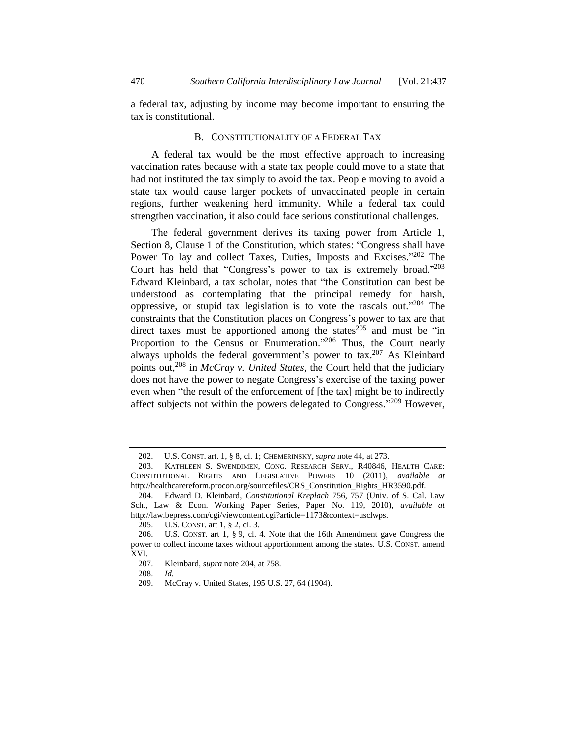a federal tax, adjusting by income may become important to ensuring the tax is constitutional.

## <span id="page-33-0"></span>B. CONSTITUTIONALITY OF A FEDERAL TAX

A federal tax would be the most effective approach to increasing vaccination rates because with a state tax people could move to a state that had not instituted the tax simply to avoid the tax. People moving to avoid a state tax would cause larger pockets of unvaccinated people in certain regions, further weakening herd immunity. While a federal tax could strengthen vaccination, it also could face serious constitutional challenges.

The federal government derives its taxing power from Article 1, Section 8, Clause 1 of the Constitution, which states: "Congress shall have Power To lay and collect Taxes, Duties, Imposts and Excises."<sup>202</sup> The Court has held that "Congress's power to tax is extremely broad."203 Edward Kleinbard, a tax scholar, notes that "the Constitution can best be understood as contemplating that the principal remedy for harsh, oppressive, or stupid tax legislation is to vote the rascals out."<sup>204</sup> The constraints that the Constitution places on Congress's power to tax are that direct taxes must be apportioned among the states $^{205}$  and must be "in Proportion to the Census or Enumeration."<sup>206</sup> Thus, the Court nearly always upholds the federal government's power to  $tax.^{207}$  As Kleinbard points out,<sup>208</sup> in *McCray v. United States*, the Court held that the judiciary does not have the power to negate Congress's exercise of the taxing power even when "the result of the enforcement of [the tax] might be to indirectly affect subjects not within the powers delegated to Congress."<sup>209</sup> However,

<sup>202.</sup> U.S. CONST. art. 1, § 8, cl. 1; CHEMERINSKY, *supra* note [44,](#page-7-1) at 273.

<sup>203.</sup> KATHLEEN S. SWENDIMEN, CONG. RESEARCH SERV., R40846, HEALTH CARE: CONSTITUTIONAL RIGHTS AND LEGISLATIVE POWERS 10 (2011), *available at* http://healthcarereform.procon.org/sourcefiles/CRS\_Constitution\_Rights\_HR3590.pdf.

<sup>204.</sup> Edward D. Kleinbard, *Constitutional Kreplach* 756, 757 (Univ. of S. Cal. Law Sch., Law & Econ. Working Paper Series, Paper No. 119, 2010), *available at* http://law.bepress.com/cgi/viewcontent.cgi?article=1173&context=usclwps.

<sup>205.</sup> U.S. CONST. art 1, § 2, cl. 3.

<sup>206.</sup> U.S. CONST. art 1, § 9, cl. 4. Note that the 16th Amendment gave Congress the power to collect income taxes without apportionment among the states. U.S. CONST. amend XVI.

<sup>207.</sup> Kleinbard, *supra* not[e 204,](#page-33-0) at 758.

<sup>208.</sup> *Id.*

<sup>209.</sup> McCray v. United States, 195 U.S. 27, 64 (1904).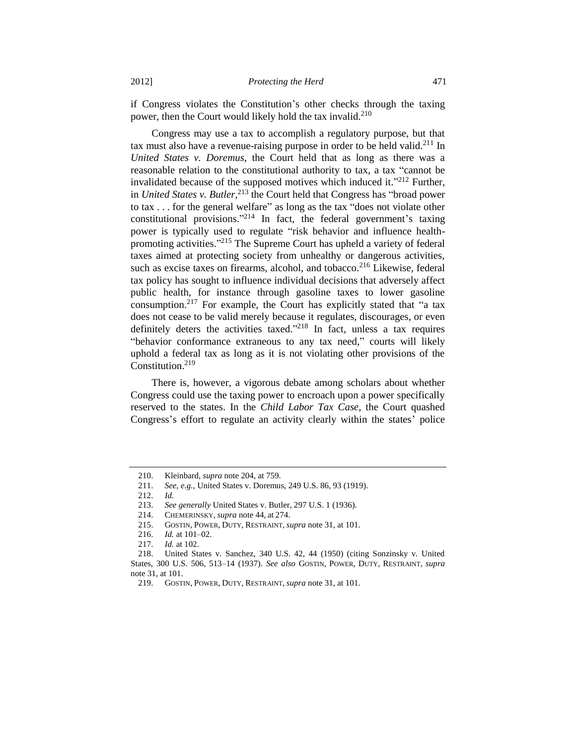if Congress violates the Constitution's other checks through the taxing power, then the Court would likely hold the tax invalid.<sup>210</sup>

Congress may use a tax to accomplish a regulatory purpose, but that tax must also have a revenue-raising purpose in order to be held valid.<sup>211</sup> In *United States v. Doremus*, the Court held that as long as there was a reasonable relation to the constitutional authority to tax, a tax "cannot be invalidated because of the supposed motives which induced it."<sup>212</sup> Further, in *United States v. Butler*, <sup>213</sup> the Court held that Congress has "broad power to tax . . . for the general welfare" as long as the tax "does not violate other constitutional provisions." <sup>214</sup> In fact, the federal government's taxing power is typically used to regulate "risk behavior and influence healthpromoting activities."<sup>215</sup> The Supreme Court has upheld a variety of federal taxes aimed at protecting society from unhealthy or dangerous activities, such as excise taxes on firearms, alcohol, and tobacco.<sup>216</sup> Likewise, federal tax policy has sought to influence individual decisions that adversely affect public health, for instance through gasoline taxes to lower gasoline consumption.<sup>217</sup> For example, the Court has explicitly stated that "a tax does not cease to be valid merely because it regulates, discourages, or even definitely deters the activities taxed."<sup>218</sup> In fact, unless a tax requires "behavior conformance extraneous to any tax need," courts will likely uphold a federal tax as long as it is not violating other provisions of the Constitution.<sup>219</sup>

There is, however, a vigorous debate among scholars about whether Congress could use the taxing power to encroach upon a power specifically reserved to the states. In the *Child Labor Tax Case*, the Court quashed Congress's effort to regulate an activity clearly within the states' police

<sup>210.</sup> Kleinbard, *supra* not[e 204,](#page-33-0) at 759.

<sup>211.</sup> *See, e.g.*, United States v. Doremus, 249 U.S. 86, 93 (1919).

<sup>212.</sup> *Id.*

<sup>213.</sup> *See generally* United States v. Butler, 297 U.S. 1 (1936).

<sup>214.</sup> CHEMERINSKY, *supra* not[e 44,](#page-7-1) at 274.

<sup>215.</sup> GOSTIN, POWER, DUTY, RESTRAINT, *supra* not[e 31,](#page-5-0) at 101.

<sup>216.</sup> *Id.* at 101–02.

<sup>217.</sup> *Id.* at 102.

<sup>218.</sup> United States v. Sanchez, 340 U.S. 42, 44 (1950) (citing Sonzinsky v. United States, 300 U.S. 506, 513–14 (1937). *See also* GOSTIN, POWER, DUTY, RESTRAINT, *supra* not[e 31,](#page-5-0) at 101.

<sup>219.</sup> GOSTIN, POWER, DUTY, RESTRAINT, *supra* not[e 31,](#page-5-0) at 101.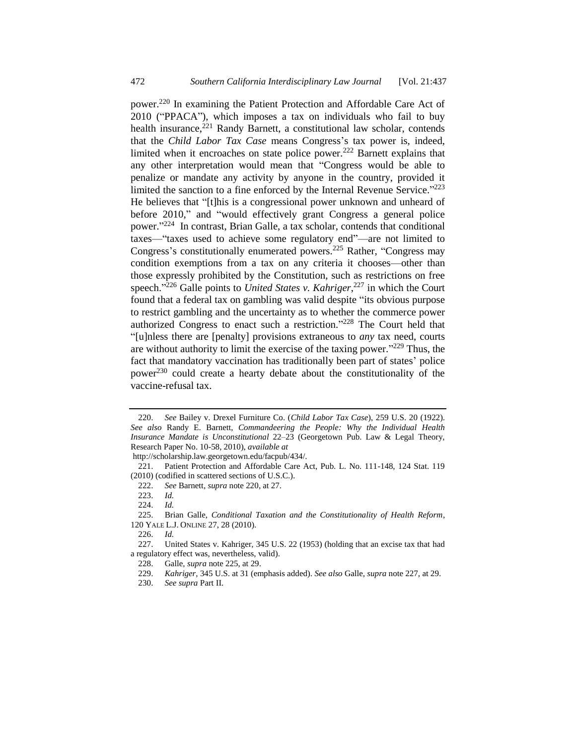<span id="page-35-1"></span><span id="page-35-0"></span>power.<sup>220</sup> In examining the Patient Protection and Affordable Care Act of 2010 ("PPACA"), which imposes a tax on individuals who fail to buy health insurance,<sup>221</sup> Randy Barnett, a constitutional law scholar, contends that the *Child Labor Tax Case* means Congress's tax power is, indeed, limited when it encroaches on state police power.<sup>222</sup> Barnett explains that any other interpretation would mean that "Congress would be able to penalize or mandate any activity by anyone in the country, provided it limited the sanction to a fine enforced by the Internal Revenue Service."<sup>223</sup> He believes that "[t]his is a congressional power unknown and unheard of before 2010," and "would effectively grant Congress a general police power."<sup>224</sup> In contrast, Brian Galle, a tax scholar, contends that conditional taxes—"taxes used to achieve some regulatory end"—are not limited to Congress's constitutionally enumerated powers.<sup>225</sup> Rather, "Congress may condition exemptions from a tax on any criteria it chooses—other than those expressly prohibited by the Constitution, such as restrictions on free speech." <sup>226</sup> Galle points to *United States v. Kahriger*, <sup>227</sup> in which the Court found that a federal tax on gambling was valid despite "its obvious purpose to restrict gambling and the uncertainty as to whether the commerce power authorized Congress to enact such a restriction." <sup>228</sup> The Court held that "[u]nless there are [penalty] provisions extraneous to *any* tax need, courts are without authority to limit the exercise of the taxing power." $^{229}$  Thus, the fact that mandatory vaccination has traditionally been part of states' police power<sup>230</sup> could create a hearty debate about the constitutionality of the vaccine-refusal tax.

<span id="page-35-2"></span><sup>220.</sup> *See* Bailey v. Drexel Furniture Co. (*Child Labor Tax Case*), 259 U.S. 20 (1922). *See also* Randy E. Barnett, *Commandeering the People: Why the Individual Health Insurance Mandate is Unconstitutional* 22–23 (Georgetown Pub. Law & Legal Theory, Research Paper No. 10-58, 2010), *available at*

http://scholarship.law.georgetown.edu/facpub/434/.

<sup>221.</sup> Patient Protection and Affordable Care Act, Pub. L. No. 111-148, 124 Stat. 119 (2010) (codified in scattered sections of U.S.C.).

<sup>222.</sup> *See* Barnett, *supra* not[e 220,](#page-35-0) at 27.

<sup>223.</sup> *Id.*

<sup>224.</sup> *Id.*

<sup>225.</sup> Brian Galle, *Conditional Taxation and the Constitutionality of Health Reform*, 120 YALE L.J. ONLINE 27, 28 (2010).

<sup>226.</sup> *Id.*

<sup>227.</sup> United States v. Kahriger, 345 U.S. 22 (1953) (holding that an excise tax that had a regulatory effect was, nevertheless, valid).

<sup>228.</sup> Galle, *supra* not[e 225,](#page-35-1) at 29.

<sup>229.</sup> *Kahriger*, 345 U.S. at 31 (emphasis added). *See also* Galle, *supra* note [227,](#page-35-2) at 29.

<sup>230.</sup> *See supra* Part II.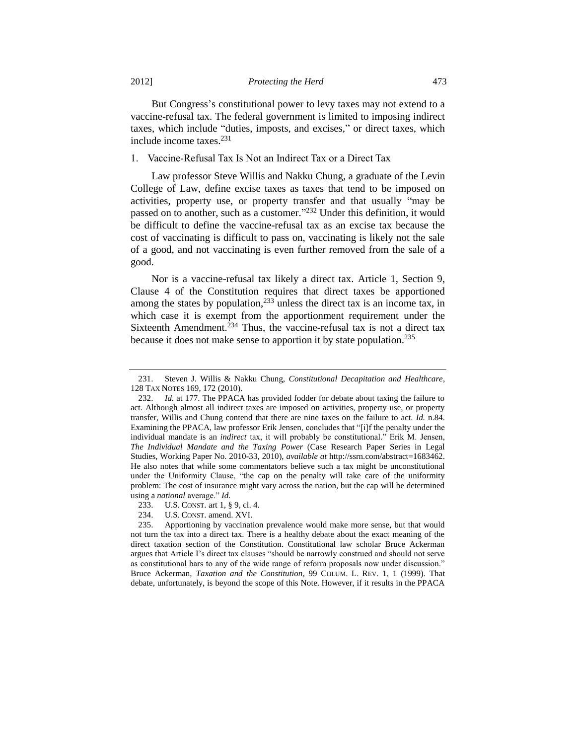But Congress's constitutional power to levy taxes may not extend to a vaccine-refusal tax. The federal government is limited to imposing indirect taxes, which include "duties, imposts, and excises," or direct taxes, which include income taxes.<sup>231</sup>

1. Vaccine-Refusal Tax Is Not an Indirect Tax or a Direct Tax

<span id="page-36-0"></span>Law professor Steve Willis and Nakku Chung, a graduate of the Levin College of Law, define excise taxes as taxes that tend to be imposed on activities, property use, or property transfer and that usually "may be passed on to another, such as a customer."<sup>232</sup> Under this definition, it would be difficult to define the vaccine-refusal tax as an excise tax because the cost of vaccinating is difficult to pass on, vaccinating is likely not the sale of a good, and not vaccinating is even further removed from the sale of a good.

Nor is a vaccine-refusal tax likely a direct tax. Article 1, Section 9, Clause 4 of the Constitution requires that direct taxes be apportioned among the states by population,  $233$  unless the direct tax is an income tax, in which case it is exempt from the apportionment requirement under the Sixteenth Amendment.<sup>234</sup> Thus, the vaccine-refusal tax is not a direct tax because it does not make sense to apportion it by state population.<sup>235</sup>

<sup>231.</sup> Steven J. Willis & Nakku Chung, *Constitutional Decapitation and Healthcare*, 128 TAX NOTES 169, 172 (2010).

<sup>232.</sup> *Id.* at 177. The PPACA has provided fodder for debate about taxing the failure to act. Although almost all indirect taxes are imposed on activities, property use, or property transfer, Willis and Chung contend that there are nine taxes on the failure to act. *Id.* n.84. Examining the PPACA, law professor Erik Jensen, concludes that "[i]f the penalty under the individual mandate is an *indirect* tax, it will probably be constitutional." Erik M. Jensen, *The Individual Mandate and the Taxing Power* (Case Research Paper Series in Legal Studies, Working Paper No. 2010-33, 2010), *available at* http://ssrn.com/abstract=1683462. He also notes that while some commentators believe such a tax might be unconstitutional under the Uniformity Clause, "the cap on the penalty will take care of the uniformity problem: The cost of insurance might vary across the nation, but the cap will be determined using a *national* average." *Id.*

<sup>233.</sup> U.S. CONST. art 1, § 9, cl. 4.

<sup>234.</sup> U.S. CONST. amend. XVI.

<sup>235.</sup> Apportioning by vaccination prevalence would make more sense, but that would not turn the tax into a direct tax. There is a healthy debate about the exact meaning of the direct taxation section of the Constitution. Constitutional law scholar Bruce Ackerman argues that Article I's direct tax clauses "should be narrowly construed and should not serve as constitutional bars to any of the wide range of reform proposals now under discussion." Bruce Ackerman, *Taxation and the Constitution*, 99 COLUM. L. REV. 1, 1 (1999). That debate, unfortunately, is beyond the scope of this Note. However, if it results in the PPACA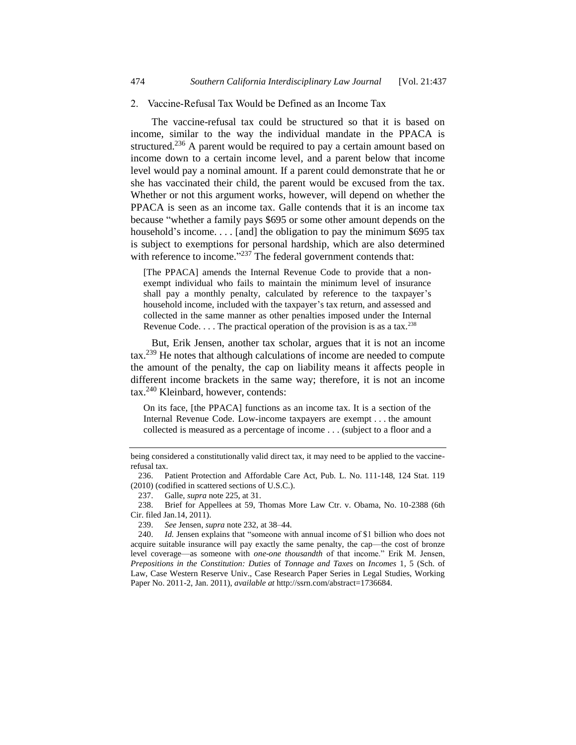#### 2. Vaccine-Refusal Tax Would be Defined as an Income Tax

The vaccine-refusal tax could be structured so that it is based on income, similar to the way the individual mandate in the PPACA is structured.<sup>236</sup> A parent would be required to pay a certain amount based on income down to a certain income level, and a parent below that income level would pay a nominal amount. If a parent could demonstrate that he or she has vaccinated their child, the parent would be excused from the tax. Whether or not this argument works, however, will depend on whether the PPACA is seen as an income tax. Galle contends that it is an income tax because "whether a family pays \$695 or some other amount depends on the household's income.... [and] the obligation to pay the minimum \$695 tax is subject to exemptions for personal hardship, which are also determined with reference to income."<sup>237</sup> The federal government contends that:

[The PPACA] amends the Internal Revenue Code to provide that a nonexempt individual who fails to maintain the minimum level of insurance shall pay a monthly penalty, calculated by reference to the taxpayer's household income, included with the taxpayer's tax return, and assessed and collected in the same manner as other penalties imposed under the Internal Revenue Code.  $\dots$  The practical operation of the provision is as a tax.<sup>238</sup>

But, Erik Jensen, another tax scholar, argues that it is not an income tax.<sup>239</sup> He notes that although calculations of income are needed to compute the amount of the penalty, the cap on liability means it affects people in different income brackets in the same way; therefore, it is not an income tax. <sup>240</sup> Kleinbard, however, contends:

On its face, [the PPACA] functions as an income tax. It is a section of the Internal Revenue Code. Low-income taxpayers are exempt . . . the amount collected is measured as a percentage of income . . . (subject to a floor and a

being considered a constitutionally valid direct tax, it may need to be applied to the vaccinerefusal tax.

<sup>236.</sup> Patient Protection and Affordable Care Act, Pub. L. No. 111-148, 124 Stat. 119 (2010) (codified in scattered sections of U.S.C.).

<sup>237.</sup> Galle, *supra* note [225,](#page-35-1) at 31.

<sup>238.</sup> Brief for Appellees at 59, Thomas More Law Ctr. v. Obama, No. 10-2388 (6th Cir. filed Jan.14, 2011).

<sup>239.</sup> *See* Jensen, *supra* note [232,](#page-36-0) at 38–44.

<sup>240.</sup> *Id.* Jensen explains that "someone with annual income of \$1 billion who does not acquire suitable insurance will pay exactly the same penalty, the cap—the cost of bronze level coverage—as someone with *one-one thousandth* of that income." Erik M. Jensen, *Prepositions in the Constitution: Duties* of *Tonnage and Taxes* on *Incomes* 1, 5 (Sch. of Law, Case Western Reserve Univ., Case Research Paper Series in Legal Studies, Working Paper No. 2011-2, Jan. 2011), *available at* http://ssrn.com/abstract=1736684.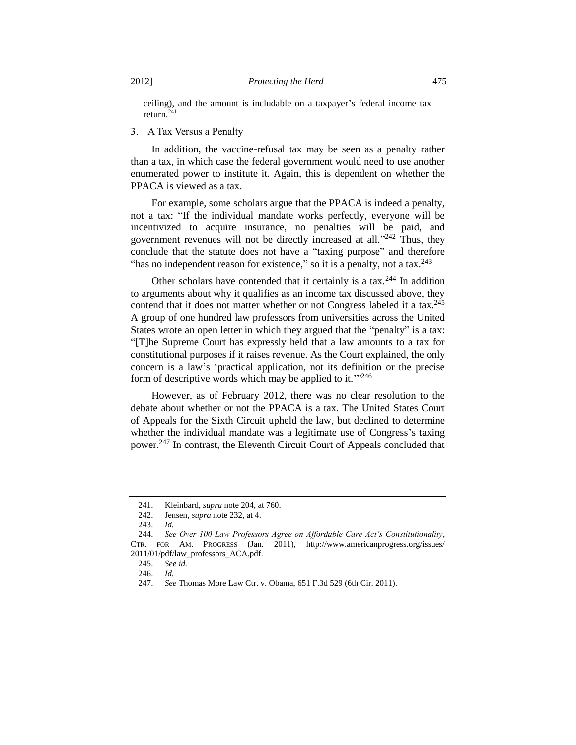ceiling), and the amount is includable on a taxpayer's federal income tax return.<sup>241</sup>

## 3. A Tax Versus a Penalty

In addition, the vaccine-refusal tax may be seen as a penalty rather than a tax, in which case the federal government would need to use another enumerated power to institute it. Again, this is dependent on whether the PPACA is viewed as a tax.

For example, some scholars argue that the PPACA is indeed a penalty, not a tax: "If the individual mandate works perfectly, everyone will be incentivized to acquire insurance, no penalties will be paid, and government revenues will not be directly increased at all."<sup>242</sup> Thus, they conclude that the statute does not have a "taxing purpose" and therefore "has no independent reason for existence," so it is a penalty, not a tax.  $243$ 

Other scholars have contended that it certainly is a tax.<sup>244</sup> In addition to arguments about why it qualifies as an income tax discussed above, they contend that it does not matter whether or not Congress labeled it a tax.<sup>245</sup> A group of one hundred law professors from universities across the United States wrote an open letter in which they argued that the "penalty" is a tax: "[T]he Supreme Court has expressly held that a law amounts to a tax for constitutional purposes if it raises revenue. As the Court explained, the only concern is a law's 'practical application, not its definition or the precise form of descriptive words which may be applied to it."<sup>246</sup>

However, as of February 2012, there was no clear resolution to the debate about whether or not the PPACA is a tax. The United States Court of Appeals for the Sixth Circuit upheld the law, but declined to determine whether the individual mandate was a legitimate use of Congress's taxing power.<sup>247</sup> In contrast, the Eleventh Circuit Court of Appeals concluded that

<sup>241.</sup> Kleinbard, *supra* not[e 204,](#page-33-0) at 760.

<sup>242.</sup> Jensen, *supra* not[e 232,](#page-36-0) at 4.

<sup>243.</sup> *Id.*

<sup>244.</sup> *See Over 100 Law Professors Agree on Affordable Care Act's Constitutionality*, CTR. FOR AM. PROGRESS (Jan. 2011), http://www.americanprogress.org/issues/ 2011/01/pdf/law\_professors\_ACA.pdf.

<sup>245.</sup> *See id.*

<sup>246.</sup> *Id.*

<sup>247.</sup> *See* Thomas More Law Ctr. v. Obama, 651 F.3d 529 (6th Cir. 2011).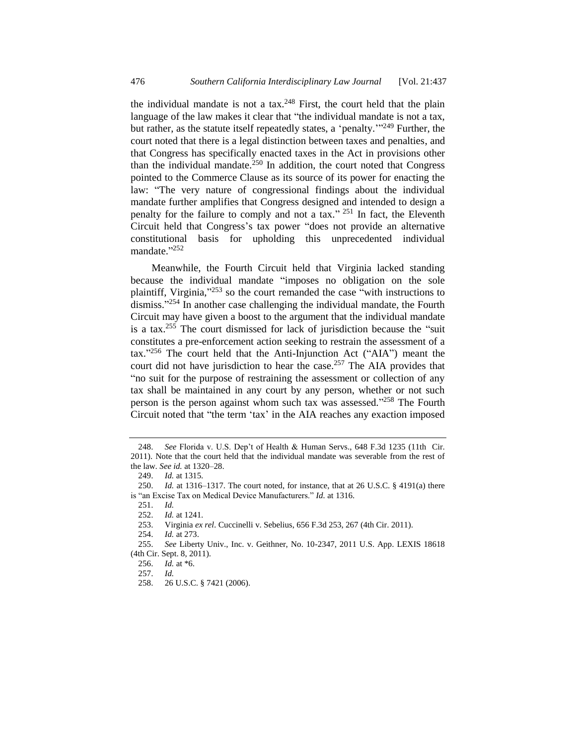the individual mandate is not a tax.<sup>248</sup> First, the court held that the plain language of the law makes it clear that "the individual mandate is not a tax, but rather, as the statute itself repeatedly states, a 'penalty.'"<sup>249</sup> Further, the court noted that there is a legal distinction between taxes and penalties, and that Congress has specifically enacted taxes in the Act in provisions other than the individual mandate.<sup>250</sup> In addition, the court noted that Congress pointed to the Commerce Clause as its source of its power for enacting the law: "The very nature of congressional findings about the individual mandate further amplifies that Congress designed and intended to design a penalty for the failure to comply and not a tax."<sup>251</sup> In fact, the Eleventh Circuit held that Congress's tax power "does not provide an alternative constitutional basis for upholding this unprecedented individual mandate."252

Meanwhile, the Fourth Circuit held that Virginia lacked standing because the individual mandate "imposes no obligation on the sole plaintiff, Virginia,"<sup>253</sup> so the court remanded the case "with instructions to dismiss." <sup>254</sup> In another case challenging the individual mandate, the Fourth Circuit may have given a boost to the argument that the individual mandate is a tax.<sup>255</sup> The court dismissed for lack of jurisdiction because the "suit" constitutes a pre-enforcement action seeking to restrain the assessment of a tax." <sup>256</sup> The court held that the Anti-Injunction Act ("AIA") meant the court did not have jurisdiction to hear the case.<sup>257</sup> The AIA provides that "no suit for the purpose of restraining the assessment or collection of any tax shall be maintained in any court by any person, whether or not such person is the person against whom such tax was assessed."<sup>258</sup> The Fourth Circuit noted that "the term 'tax' in the AIA reaches any exaction imposed

<sup>248.</sup> *See* Florida v. U.S. Dep't of Health & Human Servs., 648 F.3d 1235 (11th Cir. 2011). Note that the court held that the individual mandate was severable from the rest of the law. *See id.* at 1320–28.

<sup>249.</sup> *Id.* at 1315.

<sup>250.</sup> *Id.* at 1316–1317. The court noted, for instance, that at 26 U.S.C. § 4191(a) there is "an Excise Tax on Medical Device Manufacturers." *Id.* at 1316.

<sup>251.</sup> *Id.*

<sup>252.</sup> *Id.* at 1241.

<sup>253.</sup> Virginia *ex rel*. Cuccinelli v. Sebelius, 656 F.3d 253, 267 (4th Cir. 2011).

<sup>254.</sup> *Id.* at 273.

<sup>255.</sup> *See* Liberty Univ., Inc. v. Geithner, No. 10-2347, 2011 U.S. App. LEXIS 18618 (4th Cir. Sept. 8, 2011).

<sup>256.</sup> *Id.* at \*6.

<sup>257.</sup> *Id.*

<sup>258.</sup> 26 U.S.C. § 7421 (2006).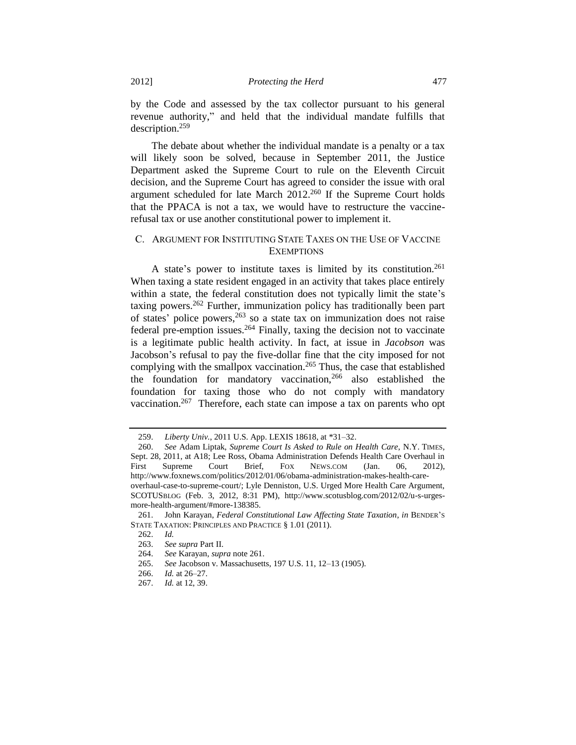by the Code and assessed by the tax collector pursuant to his general revenue authority," and held that the individual mandate fulfills that description.<sup>259</sup>

The debate about whether the individual mandate is a penalty or a tax will likely soon be solved, because in September 2011, the Justice Department asked the Supreme Court to rule on the Eleventh Circuit decision, and the Supreme Court has agreed to consider the issue with oral argument scheduled for late March 2012.<sup>260</sup> If the Supreme Court holds that the PPACA is not a tax, we would have to restructure the vaccinerefusal tax or use another constitutional power to implement it.

# <span id="page-40-0"></span>C. ARGUMENT FOR INSTITUTING STATE TAXES ON THE USE OF VACCINE **EXEMPTIONS**

A state's power to institute taxes is limited by its constitution.<sup>261</sup> When taxing a state resident engaged in an activity that takes place entirely within a state, the federal constitution does not typically limit the state's taxing powers.<sup>262</sup> Further, immunization policy has traditionally been part of states' police powers,<sup>263</sup> so a state tax on immunization does not raise federal pre-emption issues.  $264$  Finally, taxing the decision not to vaccinate is a legitimate public health activity. In fact, at issue in *Jacobson* was Jacobson's refusal to pay the five-dollar fine that the city imposed for not complying with the smallpox vaccination.<sup>265</sup> Thus, the case that established the foundation for mandatory vaccination,<sup>266</sup> also established the foundation for taxing those who do not comply with mandatory vaccination.<sup>267</sup> Therefore, each state can impose a tax on parents who opt

<sup>259.</sup> *Liberty Univ.*, 2011 U.S. App. LEXIS 18618, at \*31–32.

<sup>260.</sup> *See* Adam Liptak, *Supreme Court Is Asked to Rule on Health Care*, N.Y. TIMES, Sept. 28, 2011, at A18; Lee Ross, Obama Administration Defends Health Care Overhaul in First Supreme Court Brief, Fox NEWS.COM (Jan. 06, 2012), http://www.foxnews.com/politics/2012/01/06/obama-administration-makes-health-careoverhaul-case-to-supreme-court/; Lyle Denniston, U.S. Urged More Health Care Argument, SCOTUSBLOG (Feb. 3, 2012, 8:31 PM), [http://www.scotusblog.com/2012/02/u-s-urges](http://www.scotusblog.com/2012/02/u-s-urges-more-health-argument/#more-138385)[more-health-argument/#more-138385.](http://www.scotusblog.com/2012/02/u-s-urges-more-health-argument/#more-138385)

<sup>261.</sup> John Karayan, *Federal Constitutional Law Affecting State Taxation*, *in* BENDER'S STATE TAXATION: PRINCIPLES AND PRACTICE § 1.01 (2011).

<sup>262.</sup> *Id.*

<sup>263.</sup> *See supra* Part II.

<sup>264.</sup> *See* Karayan, *supra* not[e 261.](#page-40-0)

<sup>265.</sup> *See* Jacobson v. Massachusetts, 197 U.S. 11, 12–13 (1905).

<sup>266.</sup> *Id.* at 26–27.

<sup>267.</sup> *Id.* at 12, 39.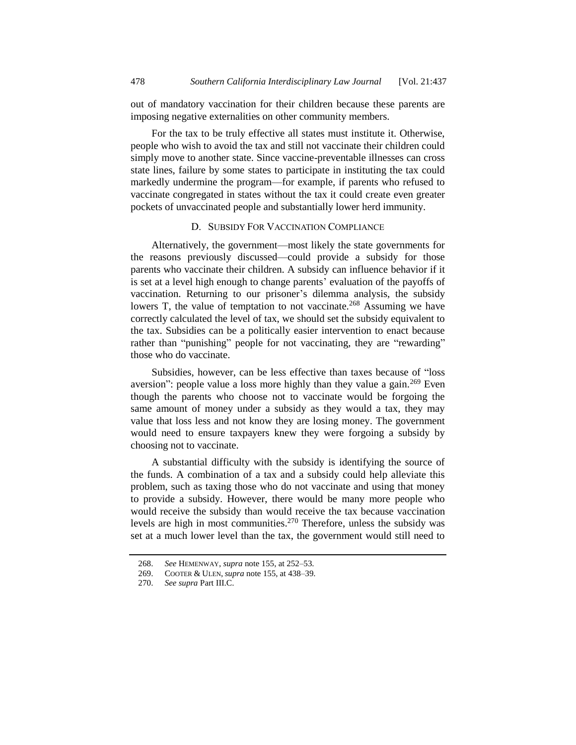out of mandatory vaccination for their children because these parents are imposing negative externalities on other community members.

For the tax to be truly effective all states must institute it. Otherwise, people who wish to avoid the tax and still not vaccinate their children could simply move to another state. Since vaccine-preventable illnesses can cross state lines, failure by some states to participate in instituting the tax could markedly undermine the program—for example, if parents who refused to vaccinate congregated in states without the tax it could create even greater pockets of unvaccinated people and substantially lower herd immunity.

# D. SUBSIDY FOR VACCINATION COMPLIANCE

Alternatively, the government—most likely the state governments for the reasons previously discussed—could provide a subsidy for those parents who vaccinate their children. A subsidy can influence behavior if it is set at a level high enough to change parents' evaluation of the payoffs of vaccination. Returning to our prisoner's dilemma analysis, the subsidy lowers T, the value of temptation to not vaccinate.<sup>268</sup> Assuming we have correctly calculated the level of tax, we should set the subsidy equivalent to the tax. Subsidies can be a politically easier intervention to enact because rather than "punishing" people for not vaccinating, they are "rewarding" those who do vaccinate.

Subsidies, however, can be less effective than taxes because of "loss aversion": people value a loss more highly than they value a gain.<sup>269</sup> Even though the parents who choose not to vaccinate would be forgoing the same amount of money under a subsidy as they would a tax, they may value that loss less and not know they are losing money. The government would need to ensure taxpayers knew they were forgoing a subsidy by choosing not to vaccinate.

A substantial difficulty with the subsidy is identifying the source of the funds. A combination of a tax and a subsidy could help alleviate this problem, such as taxing those who do not vaccinate and using that money to provide a subsidy. However, there would be many more people who would receive the subsidy than would receive the tax because vaccination levels are high in most communities.<sup>270</sup> Therefore, unless the subsidy was set at a much lower level than the tax, the government would still need to

<sup>268.</sup> *See* HEMENWAY, *supra* note [155,](#page-21-0) at 252–53.

<sup>269.</sup> COOTER & ULEN, *supra* not[e 155,](#page-21-0) at 438–39.

<sup>270.</sup> *See supra* Part III.C.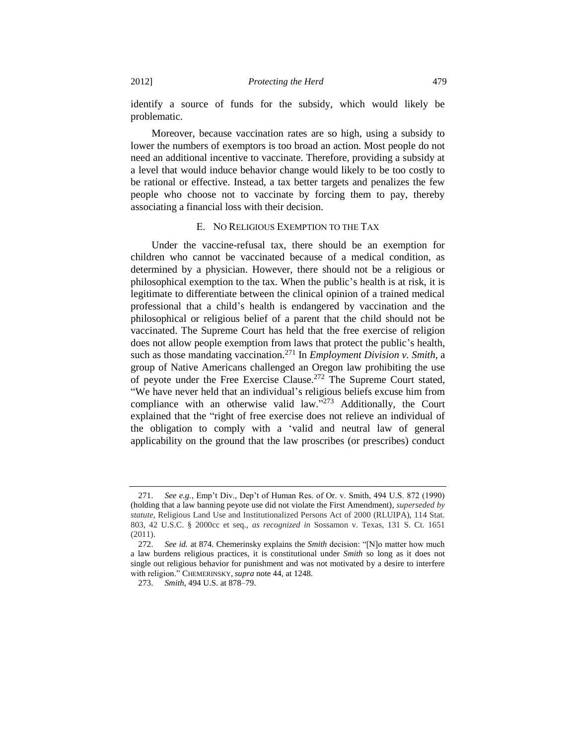identify a source of funds for the subsidy, which would likely be problematic.

Moreover, because vaccination rates are so high, using a subsidy to lower the numbers of exemptors is too broad an action. Most people do not need an additional incentive to vaccinate. Therefore, providing a subsidy at a level that would induce behavior change would likely to be too costly to be rational or effective. Instead, a tax better targets and penalizes the few people who choose not to vaccinate by forcing them to pay, thereby associating a financial loss with their decision.

#### E. NO RELIGIOUS EXEMPTION TO THE TAX

Under the vaccine-refusal tax, there should be an exemption for children who cannot be vaccinated because of a medical condition, as determined by a physician. However, there should not be a religious or philosophical exemption to the tax. When the public's health is at risk, it is legitimate to differentiate between the clinical opinion of a trained medical professional that a child's health is endangered by vaccination and the philosophical or religious belief of a parent that the child should not be vaccinated. The Supreme Court has held that the free exercise of religion does not allow people exemption from laws that protect the public's health, such as those mandating vaccination.<sup>271</sup> In *Employment Division v. Smith*, a group of Native Americans challenged an Oregon law prohibiting the use of peyote under the Free Exercise Clause.<sup>272</sup> The Supreme Court stated, "We have never held that an individual's religious beliefs excuse him from compliance with an otherwise valid law."<sup>273</sup> Additionally, the Court explained that the "right of free exercise does not relieve an individual of the obligation to comply with a 'valid and neutral law of general applicability on the ground that the law proscribes (or prescribes) conduct

<sup>271.</sup> *See e.g.*, Emp't Div., Dep't of Human Res. of Or. v. Smith, 494 U.S. 872 (1990) (holding that a law banning peyote use did not violate the First Amendment), *superseded by statute*, Religious Land Use and Institutionalized Persons Act of 2000 (RLUIPA), 114 Stat. 803, 42 U.S.C. § 2000cc et seq., *as recognized in* Sossamon v. Texas, 131 S. Ct. 1651 (2011).

<sup>272.</sup> *See id.* at 874. Chemerinsky explains the *Smith* decision: "[N]o matter how much a law burdens religious practices, it is constitutional under *Smith* so long as it does not single out religious behavior for punishment and was not motivated by a desire to interfere with religion." CHEMERINSKY, *supra* not[e 44,](#page-7-1) at 1248.

<sup>273.</sup> *Smith*, 494 U.S. at 878–79.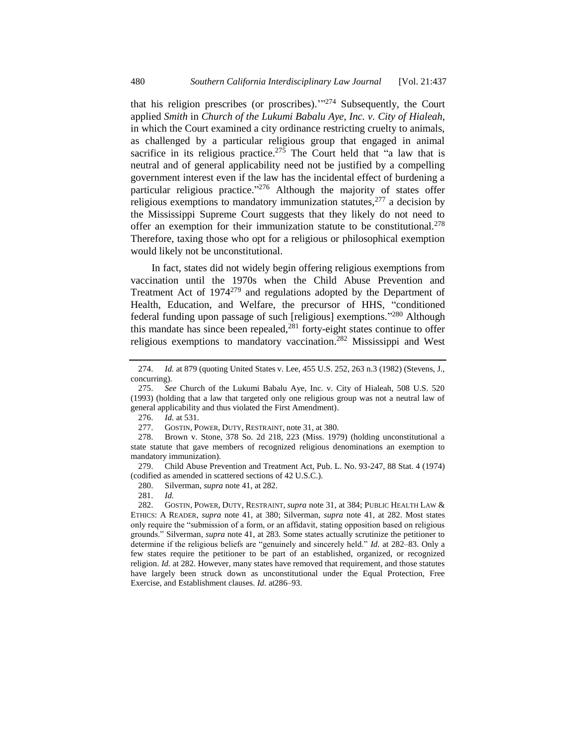that his religion prescribes (or proscribes)."<sup>274</sup> Subsequently, the Court applied *Smith* in *Church of the Lukumi Babalu Aye, Inc. v. City of Hialeah*, in which the Court examined a city ordinance restricting cruelty to animals, as challenged by a particular religious group that engaged in animal sacrifice in its religious practice.<sup>275</sup> The Court held that "a law that is neutral and of general applicability need not be justified by a compelling government interest even if the law has the incidental effect of burdening a particular religious practice."<sup>276</sup> Although the majority of states offer religious exemptions to mandatory immunization statutes,  $277$  a decision by the Mississippi Supreme Court suggests that they likely do not need to offer an exemption for their immunization statute to be constitutional.<sup>278</sup> Therefore, taxing those who opt for a religious or philosophical exemption would likely not be unconstitutional.

In fact, states did not widely begin offering religious exemptions from vaccination until the 1970s when the Child Abuse Prevention and Treatment Act of  $1974^{279}$  and regulations adopted by the Department of Health, Education, and Welfare, the precursor of HHS, "conditioned federal funding upon passage of such [religious] exemptions."<sup>280</sup> Although this mandate has since been repealed, $^{281}$  forty-eight states continue to offer religious exemptions to mandatory vaccination.<sup>282</sup> Mississippi and West

276. *Id.* at 531.

280. Silverman, *supra* not[e 41,](#page-7-0) at 282.

281. *Id.*

<sup>274.</sup> *Id.* at 879 (quoting United States v. Lee, 455 U.S. 252, 263 n.3 (1982) (Stevens, J., concurring).

<sup>275.</sup> *See* Church of the Lukumi Babalu Aye, Inc. v. City of Hialeah, 508 U.S. 520 (1993) (holding that a law that targeted only one religious group was not a neutral law of general applicability and thus violated the First Amendment).

<sup>277.</sup> GOSTIN, POWER, DUTY, RESTRAINT, not[e 31,](#page-5-0) at 380.

<sup>278.</sup> Brown v. Stone, 378 So. 2d 218, 223 (Miss. 1979) (holding unconstitutional a state statute that gave members of recognized religious denominations an exemption to mandatory immunization).

<sup>279.</sup> Child Abuse Prevention and Treatment Act, Pub. L. No. 93-247, 88 Stat. 4 (1974) (codified as amended in scattered sections of 42 U.S.C.).

<sup>282.</sup> GOSTIN, POWER, DUTY, RESTRAINT, *supra* not[e 31,](#page-5-0) at 384; PUBLIC HEALTH LAW & ETHICS: A READER, *supra* note [41,](#page-7-0) at 380; Silverman, *supra* note [41,](#page-7-0) at 282. Most states only require the "submission of a form, or an affidavit, stating opposition based on religious grounds." Silverman, *supra* note [41,](#page-7-0) at 283. Some states actually scrutinize the petitioner to determine if the religious beliefs are "genuinely and sincerely held." *Id.* at 282–83. Only a few states require the petitioner to be part of an established, organized, or recognized religion. *Id.* at 282. However, many states have removed that requirement, and those statutes have largely been struck down as unconstitutional under the Equal Protection, Free Exercise, and Establishment clauses. *Id.* at286–93.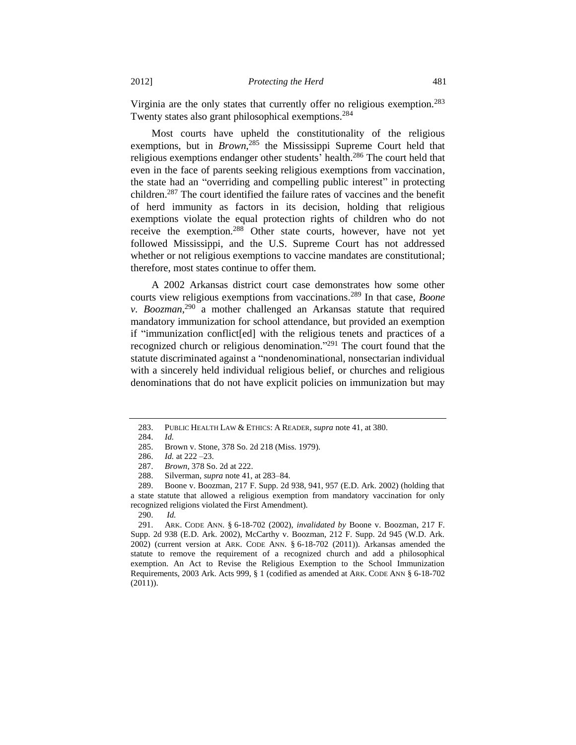Virginia are the only states that currently offer no religious exemption.<sup>283</sup> Twenty states also grant philosophical exemptions.<sup>284</sup>

Most courts have upheld the constitutionality of the religious exemptions, but in *Brown*<sup>285</sup>, the Mississippi Supreme Court held that religious exemptions endanger other students' health.<sup>286</sup> The court held that even in the face of parents seeking religious exemptions from vaccination, the state had an "overriding and compelling public interest" in protecting children.<sup>287</sup> The court identified the failure rates of vaccines and the benefit of herd immunity as factors in its decision, holding that religious exemptions violate the equal protection rights of children who do not receive the exemption.<sup>288</sup> Other state courts, however, have not yet followed Mississippi, and the U.S. Supreme Court has not addressed whether or not religious exemptions to vaccine mandates are constitutional; therefore, most states continue to offer them.

<span id="page-44-0"></span>A 2002 Arkansas district court case demonstrates how some other courts view religious exemptions from vaccinations.<sup>289</sup> In that case, *Boone v. Boozman*, <sup>290</sup> a mother challenged an Arkansas statute that required mandatory immunization for school attendance, but provided an exemption if "immunization conflict[ed] with the religious tenets and practices of a recognized church or religious denomination."<sup>291</sup> The court found that the statute discriminated against a "nondenominational, nonsectarian individual with a sincerely held individual religious belief, or churches and religious denominations that do not have explicit policies on immunization but may

<sup>283.</sup> PUBLIC HEALTH LAW & ETHICS: A READER, *supra* note [41,](#page-7-0) at 380.

<sup>284.</sup> *Id.*

<sup>285.</sup> Brown v. Stone, 378 So. 2d 218 (Miss. 1979).

<sup>286.</sup> *Id.* at 222 –23.

<sup>287.</sup> *Brown*, 378 So. 2d at 222.

<sup>288.</sup> Silverman, *supra* not[e 41,](#page-7-0) at 283–84.

<sup>289.</sup> Boone v. Boozman, 217 F. Supp. 2d 938, 941, 957 (E.D. Ark. 2002) (holding that a state statute that allowed a religious exemption from mandatory vaccination for only recognized religions violated the First Amendment).

<sup>290.</sup> *Id.* 

<sup>291.</sup> ARK. CODE ANN. § 6-18-702 (2002), *invalidated by* Boone v. Boozman, 217 F. Supp. 2d 938 (E.D. Ark. 2002), McCarthy v. Boozman, 212 F. Supp. 2d 945 (W.D. Ark. 2002) (current version at ARK. CODE ANN. § 6-18-702 (2011)). Arkansas amended the statute to remove the requirement of a recognized church and add a philosophical exemption. An Act to Revise the Religious Exemption to the School Immunization Requirements, 2003 Ark. Acts 999, § 1 (codified as amended at ARK. CODE ANN § 6-18-702 (2011)).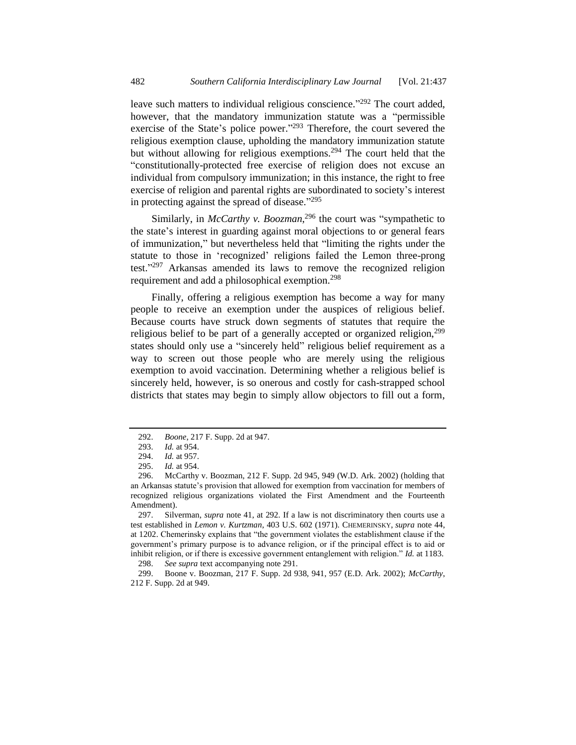leave such matters to individual religious conscience."<sup>292</sup> The court added, however, that the mandatory immunization statute was a "permissible exercise of the State's police power."<sup>293</sup> Therefore, the court severed the religious exemption clause, upholding the mandatory immunization statute but without allowing for religious exemptions.<sup>294</sup> The court held that the "constitutionally-protected free exercise of religion does not excuse an individual from compulsory immunization; in this instance, the right to free exercise of religion and parental rights are subordinated to society's interest in protecting against the spread of disease."<sup>295</sup>

Similarly, in *McCarthy v. Boozman*, <sup>296</sup> the court was "sympathetic to the state's interest in guarding against moral objections to or general fears of immunization," but nevertheless held that "limiting the rights under the statute to those in 'recognized' religions failed the Lemon three-prong test." <sup>297</sup> Arkansas amended its laws to remove the recognized religion requirement and add a philosophical exemption.<sup>298</sup>

Finally, offering a religious exemption has become a way for many people to receive an exemption under the auspices of religious belief. Because courts have struck down segments of statutes that require the religious belief to be part of a generally accepted or organized religion,  $299$ states should only use a "sincerely held" religious belief requirement as a way to screen out those people who are merely using the religious exemption to avoid vaccination. Determining whether a religious belief is sincerely held, however, is so onerous and costly for cash-strapped school districts that states may begin to simply allow objectors to fill out a form,

297. Silverman, *supra* note [41,](#page-7-0) at 292. If a law is not discriminatory then courts use a test established in *Lemon v. Kurtzman*, 403 U.S. 602 (1971). CHEMERINSKY, *supra* note [44,](#page-7-1) at 1202. Chemerinsky explains that "the government violates the establishment clause if the government's primary purpose is to advance religion, or if the principal effect is to aid or inhibit religion, or if there is excessive government entanglement with religion." *Id.* at 1183. 298. *See supra* text accompanying note [291.](#page-44-0)

299. Boone v. Boozman, 217 F. Supp. 2d 938, 941, 957 (E.D. Ark. 2002); *McCarthy*, 212 F. Supp. 2d at 949.

<sup>292.</sup> *Boone*, 217 F. Supp. 2d at 947.

<sup>293.</sup> *Id.* at 954.

<sup>294.</sup> *Id.* at 957.

<sup>295.</sup> *Id.* at 954.

<sup>296.</sup> McCarthy v. Boozman, 212 F. Supp. 2d 945, 949 (W.D. Ark. 2002) (holding that an Arkansas statute's provision that allowed for exemption from vaccination for members of recognized religious organizations violated the First Amendment and the Fourteenth Amendment).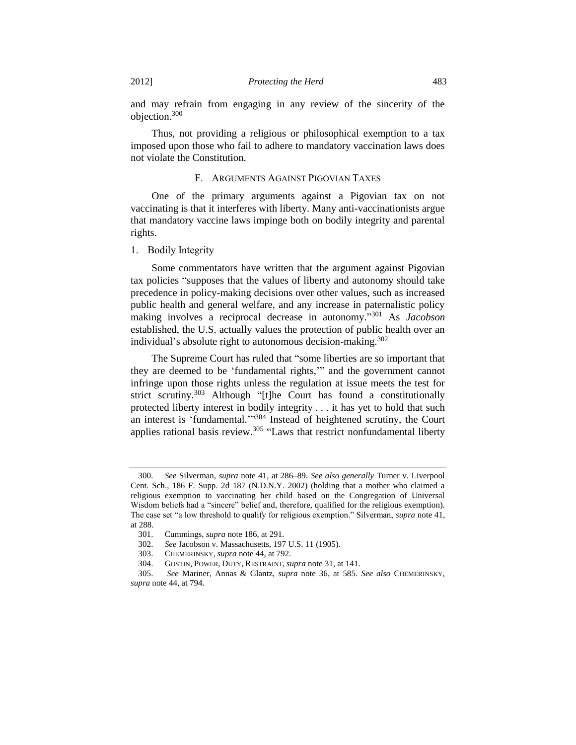and may refrain from engaging in any review of the sincerity of the objection.<sup>300</sup>

Thus, not providing a religious or philosophical exemption to a tax imposed upon those who fail to adhere to mandatory vaccination laws does not violate the Constitution.

## F. ARGUMENTS AGAINST PIGOVIAN TAXES

One of the primary arguments against a Pigovian tax on not vaccinating is that it interferes with liberty. Many anti-vaccinationists argue that mandatory vaccine laws impinge both on bodily integrity and parental rights.

1. Bodily Integrity

Some commentators have written that the argument against Pigovian tax policies "supposes that the values of liberty and autonomy should take precedence in policy-making decisions over other values, such as increased public health and general welfare, and any increase in paternalistic policy making involves a reciprocal decrease in autonomy." <sup>301</sup> As *Jacobson* established, the U.S. actually values the protection of public health over an individual's absolute right to autonomous decision-making.<sup>302</sup>

The Supreme Court has ruled that "some liberties are so important that they are deemed to be 'fundamental rights,'" and the government cannot infringe upon those rights unless the regulation at issue meets the test for strict scrutiny.<sup>303</sup> Although "[t]he Court has found a constitutionally protected liberty interest in bodily integrity . . . it has yet to hold that such an interest is 'fundamental.'"<sup>304</sup> Instead of heightened scrutiny, the Court applies rational basis review.<sup>305</sup> "Laws that restrict nonfundamental liberty

<sup>300.</sup> *See* Silverman, *supra* note [41,](#page-7-0) at 286–89. *See also generally* Turner v. Liverpool Cent. Sch., 186 F. Supp. 2d 187 (N.D.N.Y. 2002) (holding that a mother who claimed a religious exemption to vaccinating her child based on the Congregation of Universal Wisdom beliefs had a "sincere" belief and, therefore, qualified for the religious exemption). The case set "a low threshold to qualify for religious exemption." Silverman, *supra* note [41,](#page-7-0) at 288.

<sup>301.</sup> Cummings, *supra* note [186,](#page-28-0) at 291.

<sup>302.</sup> *See* Jacobson v. Massachusetts, 197 U.S. 11 (1905).

<sup>303.</sup> CHEMERINSKY, *supra* not[e 44,](#page-7-1) at 792.

<sup>304.</sup> GOSTIN, POWER, DUTY, RESTRAINT, *supra* not[e 31,](#page-5-0) at 141.

<sup>305.</sup> *See* Mariner, Annas & Glantz, *supra* note [36,](#page-6-1) at 585. *See also* CHEMERINSKY, *supra* not[e 44,](#page-7-1) at 794.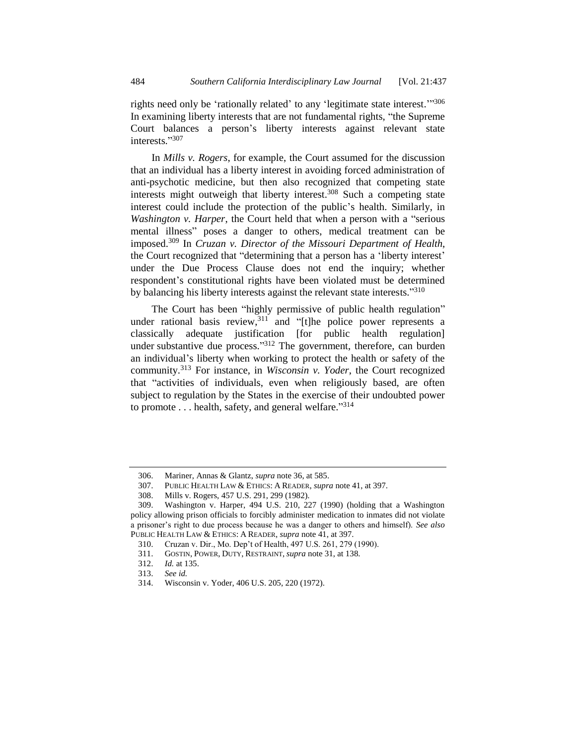rights need only be 'rationally related' to any 'legitimate state interest."<sup>306</sup> In examining liberty interests that are not fundamental rights, "the Supreme Court balances a person's liberty interests against relevant state interests." 307

In *Mills v. Rogers*, for example, the Court assumed for the discussion that an individual has a liberty interest in avoiding forced administration of anti-psychotic medicine, but then also recognized that competing state interests might outweigh that liberty interest.<sup>308</sup> Such a competing state interest could include the protection of the public's health. Similarly, in *Washington v. Harper*, the Court held that when a person with a "serious mental illness" poses a danger to others, medical treatment can be imposed.<sup>309</sup> In *Cruzan v. Director of the Missouri Department of Health*, the Court recognized that "determining that a person has a 'liberty interest' under the Due Process Clause does not end the inquiry; whether respondent's constitutional rights have been violated must be determined by balancing his liberty interests against the relevant state interests."<sup>310</sup>

The Court has been "highly permissive of public health regulation" under rational basis review,<sup>311</sup> and "[t]he police power represents a classically adequate justification [for public health regulation] under substantive due process."<sup>312</sup> The government, therefore, can burden an individual's liberty when working to protect the health or safety of the community.<sup>313</sup> For instance, in *Wisconsin v. Yoder*, the Court recognized that "activities of individuals, even when religiously based, are often subject to regulation by the States in the exercise of their undoubted power to promote . . . health, safety, and general welfare."<sup>314</sup>

<sup>306.</sup> Mariner, Annas & Glantz, *supra* not[e 36,](#page-6-1) at 585.

<sup>307.</sup> PUBLIC HEALTH LAW & ETHICS: A READER, *supra* note [41,](#page-7-0) at 397.

<sup>308.</sup> Mills v. Rogers, 457 U.S. 291, 299 (1982).

<sup>309.</sup> Washington v. Harper, 494 U.S. 210, 227 (1990) (holding that a Washington policy allowing prison officials to forcibly administer medication to inmates did not violate a prisoner's right to due process because he was a danger to others and himself). *See also*  PUBLIC HEALTH LAW & ETHICS: A READER, *supra* note [41,](#page-7-0) at 397.

<sup>310.</sup> Cruzan v. Dir., Mo. Dep't of Health, 497 U.S. 261, 279 (1990).

<sup>311.</sup> GOSTIN, POWER, DUTY, RESTRAINT, *supra* note [31,](#page-5-0) at 138.

<sup>312.</sup> *Id.* at 135.

<sup>313.</sup> *See id.* 

<sup>314.</sup> Wisconsin v. Yoder, 406 U.S. 205, 220 (1972).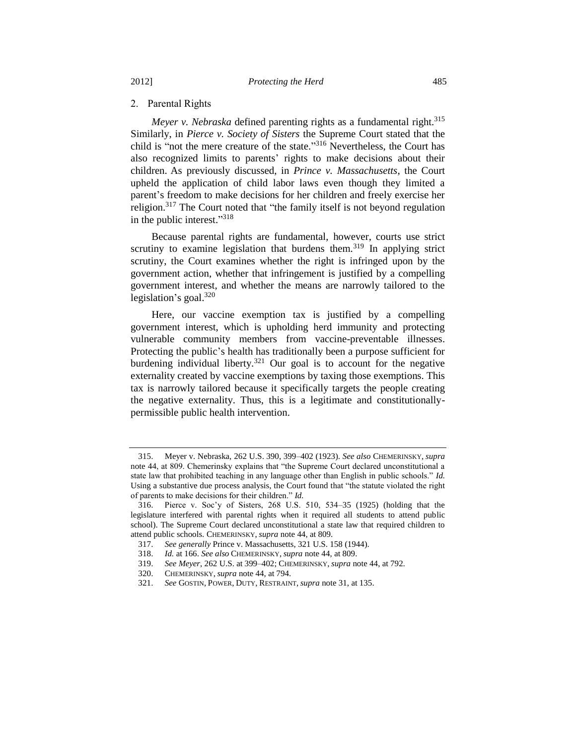#### 2. Parental Rights

*Meyer v. Nebraska* defined parenting rights as a fundamental right.<sup>315</sup> Similarly, in *Pierce v. Society of Sisters* the Supreme Court stated that the child is "not the mere creature of the state." <sup>316</sup> Nevertheless, the Court has also recognized limits to parents' rights to make decisions about their children. As previously discussed, in *Prince v. Massachusetts*, the Court upheld the application of child labor laws even though they limited a parent's freedom to make decisions for her children and freely exercise her religion.<sup>317</sup> The Court noted that "the family itself is not beyond regulation in the public interest." 318

Because parental rights are fundamental, however, courts use strict scrutiny to examine legislation that burdens them.<sup>319</sup> In applying strict scrutiny, the Court examines whether the right is infringed upon by the government action, whether that infringement is justified by a compelling government interest, and whether the means are narrowly tailored to the legislation's goal. $320$ 

Here, our vaccine exemption tax is justified by a compelling government interest, which is upholding herd immunity and protecting vulnerable community members from vaccine-preventable illnesses. Protecting the public's health has traditionally been a purpose sufficient for burdening individual liberty.<sup>321</sup> Our goal is to account for the negative externality created by vaccine exemptions by taxing those exemptions. This tax is narrowly tailored because it specifically targets the people creating the negative externality. Thus, this is a legitimate and constitutionallypermissible public health intervention.

<sup>315.</sup> Meyer v. Nebraska, 262 U.S. 390, 399–402 (1923). *See also* CHEMERINSKY, *supra*  note [44,](#page-7-1) at 809. Chemerinsky explains that "the Supreme Court declared unconstitutional a state law that prohibited teaching in any language other than English in public schools." *Id.* Using a substantive due process analysis, the Court found that "the statute violated the right of parents to make decisions for their children." *Id.*

<sup>316.</sup> Pierce v. Soc'y of Sisters, 268 U.S. 510, 534–35 (1925) (holding that the legislature interfered with parental rights when it required all students to attend public school). The Supreme Court declared unconstitutional a state law that required children to attend public schools. CHEMERINSKY, *supra* note [44,](#page-7-1) at 809.

<sup>317.</sup> *See generally* Prince v. Massachusetts, 321 U.S. 158 (1944).

<sup>318.</sup> *Id.* at 166. *See also* CHEMERINSKY, *supra* note [44,](#page-7-1) at 809.

<sup>319.</sup> *See Meyer,* 262 U.S. at 399–402; CHEMERINSKY, *supra* note [44,](#page-7-1) at 792.

<sup>320.</sup> CHEMERINSKY, *supra* not[e 44,](#page-7-1) at 794.

<sup>321.</sup> *See* GOSTIN, POWER, DUTY, RESTRAINT, *supra* note [31,](#page-5-0) at 135.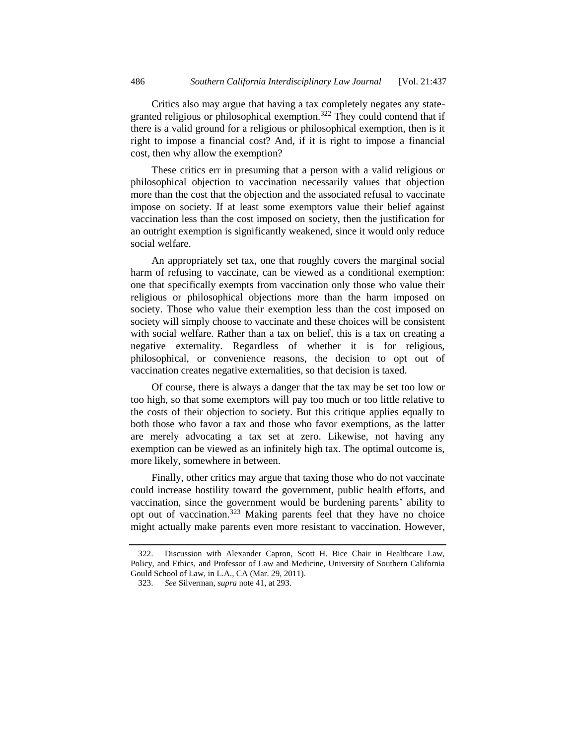Critics also may argue that having a tax completely negates any stategranted religious or philosophical exemption.<sup>322</sup> They could contend that if there is a valid ground for a religious or philosophical exemption, then is it right to impose a financial cost? And, if it is right to impose a financial cost, then why allow the exemption?

These critics err in presuming that a person with a valid religious or philosophical objection to vaccination necessarily values that objection more than the cost that the objection and the associated refusal to vaccinate impose on society. If at least some exemptors value their belief against vaccination less than the cost imposed on society, then the justification for an outright exemption is significantly weakened, since it would only reduce social welfare.

An appropriately set tax, one that roughly covers the marginal social harm of refusing to vaccinate, can be viewed as a conditional exemption: one that specifically exempts from vaccination only those who value their religious or philosophical objections more than the harm imposed on society. Those who value their exemption less than the cost imposed on society will simply choose to vaccinate and these choices will be consistent with social welfare. Rather than a tax on belief, this is a tax on creating a negative externality. Regardless of whether it is for religious, philosophical, or convenience reasons, the decision to opt out of vaccination creates negative externalities, so that decision is taxed.

Of course, there is always a danger that the tax may be set too low or too high, so that some exemptors will pay too much or too little relative to the costs of their objection to society. But this critique applies equally to both those who favor a tax and those who favor exemptions, as the latter are merely advocating a tax set at zero. Likewise, not having any exemption can be viewed as an infinitely high tax. The optimal outcome is, more likely, somewhere in between.

Finally, other critics may argue that taxing those who do not vaccinate could increase hostility toward the government, public health efforts, and vaccination, since the government would be burdening parents' ability to opt out of vaccination.<sup>323</sup> Making parents feel that they have no choice might actually make parents even more resistant to vaccination. However,

<sup>322.</sup> Discussion with Alexander Capron, Scott H. Bice Chair in Healthcare Law, Policy, and Ethics, and Professor of Law and Medicine, University of Southern California Gould School of Law, in L.A., CA (Mar. 29, 2011).

<sup>323.</sup> *See* Silverman, *supra* note [41,](#page-7-0) at 293.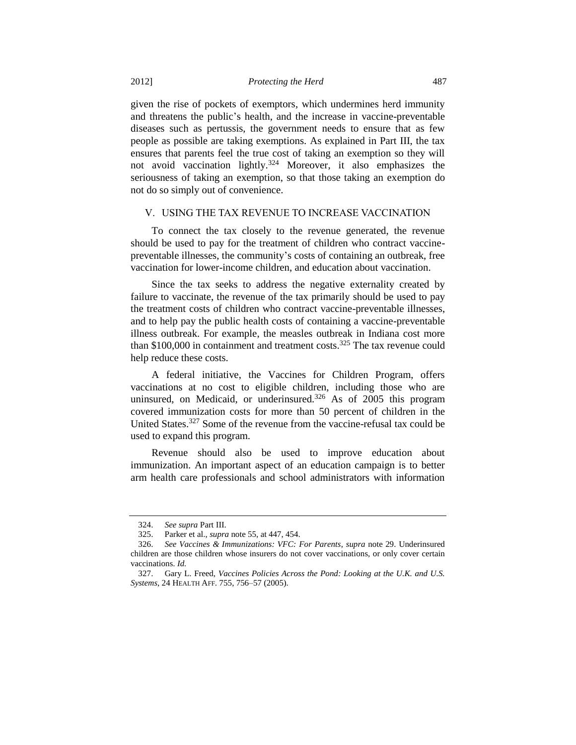given the rise of pockets of exemptors, which undermines herd immunity and threatens the public's health, and the increase in vaccine-preventable diseases such as pertussis, the government needs to ensure that as few people as possible are taking exemptions. As explained in Part III, the tax ensures that parents feel the true cost of taking an exemption so they will not avoid vaccination lightly.<sup>324</sup> Moreover, it also emphasizes the seriousness of taking an exemption, so that those taking an exemption do not do so simply out of convenience.

#### V. USING THE TAX REVENUE TO INCREASE VACCINATION

To connect the tax closely to the revenue generated, the revenue should be used to pay for the treatment of children who contract vaccinepreventable illnesses, the community's costs of containing an outbreak, free vaccination for lower-income children, and education about vaccination.

Since the tax seeks to address the negative externality created by failure to vaccinate, the revenue of the tax primarily should be used to pay the treatment costs of children who contract vaccine-preventable illnesses, and to help pay the public health costs of containing a vaccine-preventable illness outbreak. For example, the measles outbreak in Indiana cost more than  $$100,000$  in containment and treatment costs.<sup>325</sup> The tax revenue could help reduce these costs.

A federal initiative, the Vaccines for Children Program, offers vaccinations at no cost to eligible children, including those who are uninsured, on Medicaid, or underinsured.<sup>326</sup> As of 2005 this program covered immunization costs for more than 50 percent of children in the United States.<sup>327</sup> Some of the revenue from the vaccine-refusal tax could be used to expand this program.

Revenue should also be used to improve education about immunization. An important aspect of an education campaign is to better arm health care professionals and school administrators with information

<sup>324.</sup> *See supra* Part III.

<sup>325.</sup> Parker et al., *supra* not[e 55,](#page-8-0) at 447, 454.

<sup>326.</sup> *See Vaccines & Immunizations: VFC: For Parents*, *supra* note [29.](#page-4-2) Underinsured children are those children whose insurers do not cover vaccinations, or only cover certain vaccinations. *Id.*

<sup>327.</sup> Gary L. Freed, *Vaccines Policies Across the Pond: Looking at the U.K. and U.S. Systems*, 24 HEALTH AFF. 755, 756–57 (2005).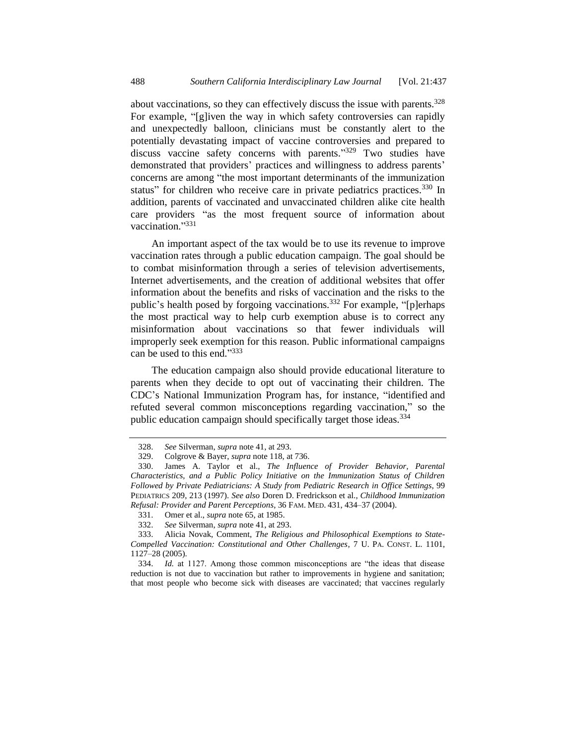about vaccinations, so they can effectively discuss the issue with parents.<sup>328</sup> For example, "[g]iven the way in which safety controversies can rapidly and unexpectedly balloon, clinicians must be constantly alert to the potentially devastating impact of vaccine controversies and prepared to discuss vaccine safety concerns with parents."<sup>329</sup> Two studies have demonstrated that providers' practices and willingness to address parents' concerns are among "the most important determinants of the immunization status" for children who receive care in private pediatrics practices.<sup>330</sup> In addition, parents of vaccinated and unvaccinated children alike cite health care providers "as the most frequent source of information about vaccination."331

An important aspect of the tax would be to use its revenue to improve vaccination rates through a public education campaign. The goal should be to combat misinformation through a series of television advertisements, Internet advertisements, and the creation of additional websites that offer information about the benefits and risks of vaccination and the risks to the public's health posed by forgoing vaccinations.<sup>332</sup> For example, "[p]erhaps the most practical way to help curb exemption abuse is to correct any misinformation about vaccinations so that fewer individuals will improperly seek exemption for this reason. Public informational campaigns can be used to this end."333

The education campaign also should provide educational literature to parents when they decide to opt out of vaccinating their children. The CDC's National Immunization Program has, for instance, "identified and refuted several common misconceptions regarding vaccination," so the public education campaign should specifically target those ideas.<sup>334</sup>

<sup>328.</sup> *See* Silverman, *supra* note [41,](#page-7-0) at 293.

<sup>329.</sup> Colgrove & Bayer, *supra* not[e 118,](#page-16-1) at 736.

<sup>330.</sup> James A. Taylor et al., *The Influence of Provider Behavior, Parental Characteristics, and a Public Policy Initiative on the Immunization Status of Children Followed by Private Pediatricians: A Study from Pediatric Research in Office Settings*, 99 PEDIATRICS 209, 213 (1997). *See also* Doren D. Fredrickson et al., *Childhood Immunization Refusal: Provider and Parent Perceptions*, 36 FAM. MED. 431, 434–37 (2004).

<sup>331.</sup> Omer et al., *supra* not[e 65,](#page-9-1) at 1985.

<sup>332.</sup> *See* Silverman, *supra* note [41,](#page-7-0) at 293.

<sup>333.</sup> Alicia Novak, Comment, *The Religious and Philosophical Exemptions to State-Compelled Vaccination: Constitutional and Other Challenges*, 7 U. PA. CONST. L. 1101, 1127–28 (2005).

<sup>334.</sup> *Id.* at 1127. Among those common misconceptions are "the ideas that disease reduction is not due to vaccination but rather to improvements in hygiene and sanitation; that most people who become sick with diseases are vaccinated; that vaccines regularly